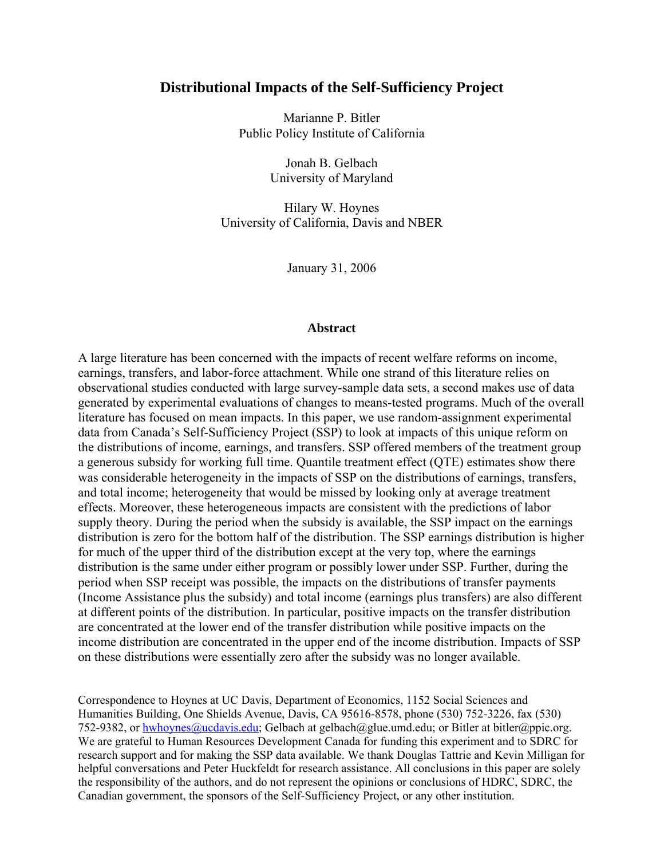## **Distributional Impacts of the Self-Sufficiency Project**

Marianne P. Bitler Public Policy Institute of California

> Jonah B. Gelbach University of Maryland

Hilary W. Hoynes University of California, Davis and NBER

January 31, 2006

## **Abstract**

A large literature has been concerned with the impacts of recent welfare reforms on income, earnings, transfers, and labor-force attachment. While one strand of this literature relies on observational studies conducted with large survey-sample data sets, a second makes use of data generated by experimental evaluations of changes to means-tested programs. Much of the overall literature has focused on mean impacts. In this paper, we use random-assignment experimental data from Canada's Self-Sufficiency Project (SSP) to look at impacts of this unique reform on the distributions of income, earnings, and transfers. SSP offered members of the treatment group a generous subsidy for working full time. Quantile treatment effect (QTE) estimates show there was considerable heterogeneity in the impacts of SSP on the distributions of earnings, transfers, and total income; heterogeneity that would be missed by looking only at average treatment effects. Moreover, these heterogeneous impacts are consistent with the predictions of labor supply theory. During the period when the subsidy is available, the SSP impact on the earnings distribution is zero for the bottom half of the distribution. The SSP earnings distribution is higher for much of the upper third of the distribution except at the very top, where the earnings distribution is the same under either program or possibly lower under SSP. Further, during the period when SSP receipt was possible, the impacts on the distributions of transfer payments (Income Assistance plus the subsidy) and total income (earnings plus transfers) are also different at different points of the distribution. In particular, positive impacts on the transfer distribution are concentrated at the lower end of the transfer distribution while positive impacts on the income distribution are concentrated in the upper end of the income distribution. Impacts of SSP on these distributions were essentially zero after the subsidy was no longer available.

Correspondence to Hoynes at UC Davis, Department of Economics, 1152 Social Sciences and Humanities Building, One Shields Avenue, Davis, CA 95616-8578, phone (530) 752-3226, fax (530) 752-9382, or hwhoynes@ucdavis.edu; Gelbach at gelbach@glue.umd.edu; or Bitler at bitler@ppic.org. We are grateful to Human Resources Development Canada for funding this experiment and to SDRC for research support and for making the SSP data available. We thank Douglas Tattrie and Kevin Milligan for helpful conversations and Peter Huckfeldt for research assistance. All conclusions in this paper are solely the responsibility of the authors, and do not represent the opinions or conclusions of HDRC, SDRC, the Canadian government, the sponsors of the Self-Sufficiency Project, or any other institution.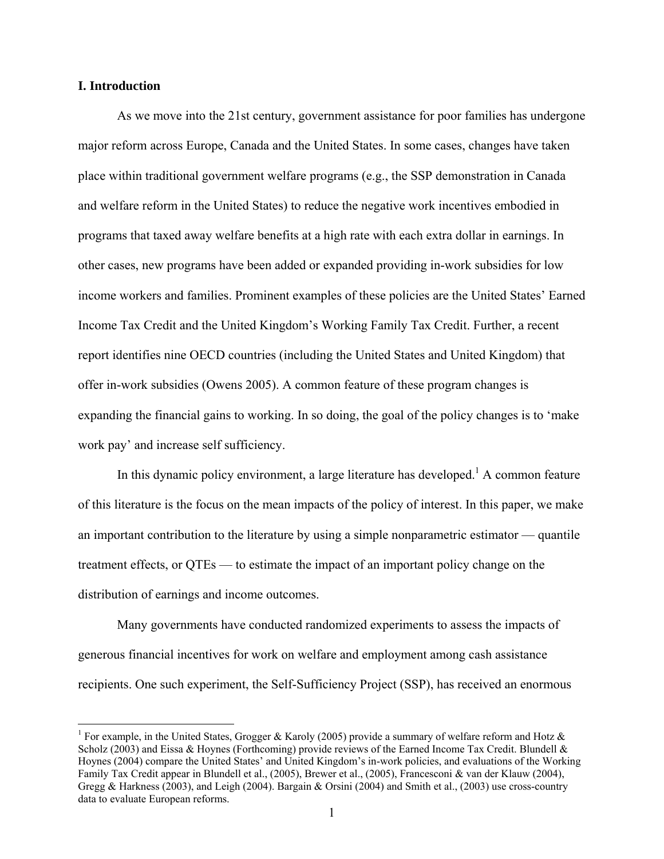## **I. Introduction**

 $\overline{a}$ 

As we move into the 21st century, government assistance for poor families has undergone major reform across Europe, Canada and the United States. In some cases, changes have taken place within traditional government welfare programs (e.g., the SSP demonstration in Canada and welfare reform in the United States) to reduce the negative work incentives embodied in programs that taxed away welfare benefits at a high rate with each extra dollar in earnings. In other cases, new programs have been added or expanded providing in-work subsidies for low income workers and families. Prominent examples of these policies are the United States' Earned Income Tax Credit and the United Kingdom's Working Family Tax Credit. Further, a recent report identifies nine OECD countries (including the United States and United Kingdom) that offer in-work subsidies (Owens 2005). A common feature of these program changes is expanding the financial gains to working. In so doing, the goal of the policy changes is to 'make work pay' and increase self sufficiency.

In this dynamic policy environment, a large literature has developed.<sup>1</sup> A common feature of this literature is the focus on the mean impacts of the policy of interest. In this paper, we make an important contribution to the literature by using a simple nonparametric estimator — quantile treatment effects, or QTEs — to estimate the impact of an important policy change on the distribution of earnings and income outcomes.

Many governments have conducted randomized experiments to assess the impacts of generous financial incentives for work on welfare and employment among cash assistance recipients. One such experiment, the Self-Sufficiency Project (SSP), has received an enormous

<sup>&</sup>lt;sup>1</sup> For example, in the United States, Grogger & Karoly (2005) provide a summary of welfare reform and Hotz & Scholz (2003) and Eissa & Hoynes (Forthcoming) provide reviews of the Earned Income Tax Credit. Blundell & Hoynes (2004) compare the United States' and United Kingdom's in-work policies, and evaluations of the Working Family Tax Credit appear in Blundell et al., (2005), Brewer et al., (2005), Francesconi & van der Klauw (2004), Gregg & Harkness (2003), and Leigh (2004). Bargain & Orsini (2004) and Smith et al., (2003) use cross-country data to evaluate European reforms.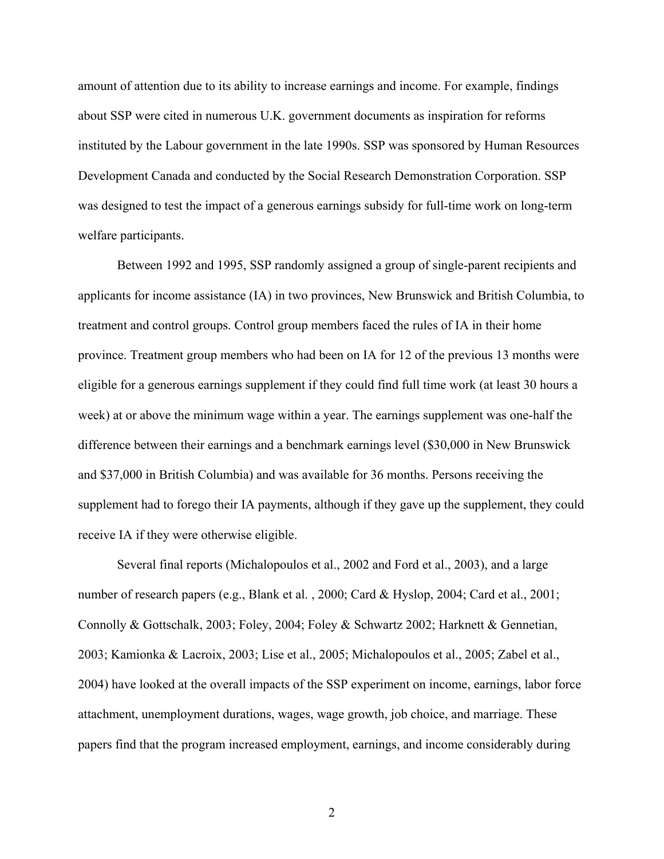amount of attention due to its ability to increase earnings and income. For example, findings about SSP were cited in numerous U.K. government documents as inspiration for reforms instituted by the Labour government in the late 1990s. SSP was sponsored by Human Resources Development Canada and conducted by the Social Research Demonstration Corporation. SSP was designed to test the impact of a generous earnings subsidy for full-time work on long-term welfare participants.

Between 1992 and 1995, SSP randomly assigned a group of single-parent recipients and applicants for income assistance (IA) in two provinces, New Brunswick and British Columbia, to treatment and control groups. Control group members faced the rules of IA in their home province. Treatment group members who had been on IA for 12 of the previous 13 months were eligible for a generous earnings supplement if they could find full time work (at least 30 hours a week) at or above the minimum wage within a year. The earnings supplement was one-half the difference between their earnings and a benchmark earnings level (\$30,000 in New Brunswick and \$37,000 in British Columbia) and was available for 36 months. Persons receiving the supplement had to forego their IA payments, although if they gave up the supplement, they could receive IA if they were otherwise eligible.

Several final reports (Michalopoulos et al., 2002 and Ford et al., 2003), and a large number of research papers (e.g., Blank et al., 2000; Card & Hyslop, 2004; Card et al., 2001; Connolly & Gottschalk, 2003; Foley, 2004; Foley & Schwartz 2002; Harknett & Gennetian, 2003; Kamionka & Lacroix, 2003; Lise et al., 2005; Michalopoulos et al., 2005; Zabel et al., 2004) have looked at the overall impacts of the SSP experiment on income, earnings, labor force attachment, unemployment durations, wages, wage growth, job choice, and marriage. These papers find that the program increased employment, earnings, and income considerably during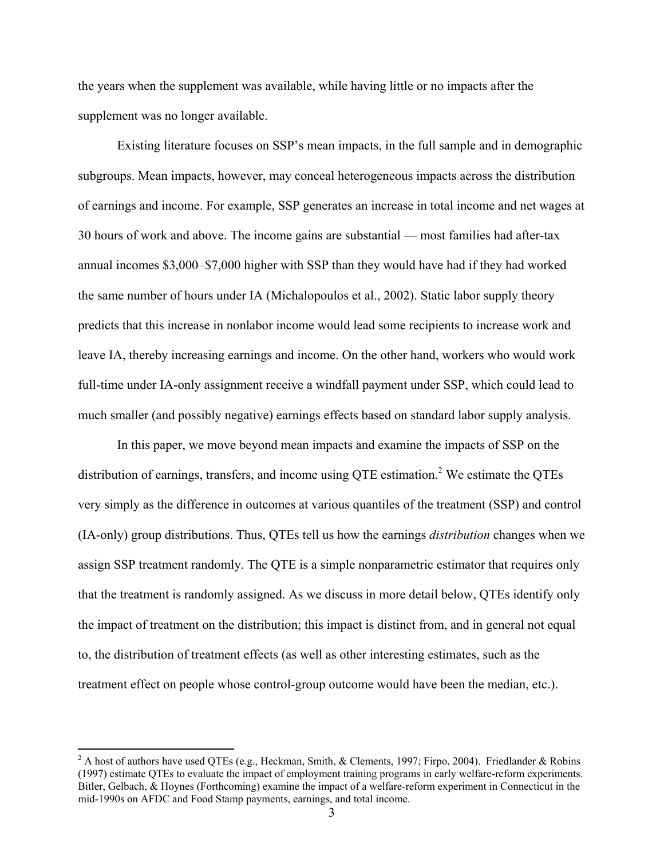the years when the supplement was available, while having little or no impacts after the supplement was no longer available.

Existing literature focuses on SSP's mean impacts, in the full sample and in demographic subgroups. Mean impacts, however, may conceal heterogeneous impacts across the distribution of earnings and income. For example, SSP generates an increase in total income and net wages at 30 hours of work and above. The income gains are substantial — most families had after-tax annual incomes \$3,000–\$7,000 higher with SSP than they would have had if they had worked the same number of hours under IA (Michalopoulos et al., 2002). Static labor supply theory predicts that this increase in nonlabor income would lead some recipients to increase work and leave IA, thereby increasing earnings and income. On the other hand, workers who would work full-time under IA-only assignment receive a windfall payment under SSP, which could lead to much smaller (and possibly negative) earnings effects based on standard labor supply analysis.

In this paper, we move beyond mean impacts and examine the impacts of SSP on the distribution of earnings, transfers, and income using QTE estimation.<sup>2</sup> We estimate the QTEs very simply as the difference in outcomes at various quantiles of the treatment (SSP) and control (IA-only) group distributions. Thus, QTEs tell us how the earnings *distribution* changes when we assign SSP treatment randomly. The QTE is a simple nonparametric estimator that requires only that the treatment is randomly assigned. As we discuss in more detail below, QTEs identify only the impact of treatment on the distribution; this impact is distinct from, and in general not equal to, the distribution of treatment effects (as well as other interesting estimates, such as the treatment effect on people whose control-group outcome would have been the median, etc.).

<sup>&</sup>lt;sup>2</sup> A host of authors have used QTEs (e.g., Heckman, Smith, & Clements, 1997; Firpo, 2004). Friedlander & Robins (1997) estimate QTEs to evaluate the impact of employment training programs in early welfare-reform experiments. Bitler, Gelbach, & Hoynes (Forthcoming) examine the impact of a welfare-reform experiment in Connecticut in the mid-1990s on AFDC and Food Stamp payments, earnings, and total income.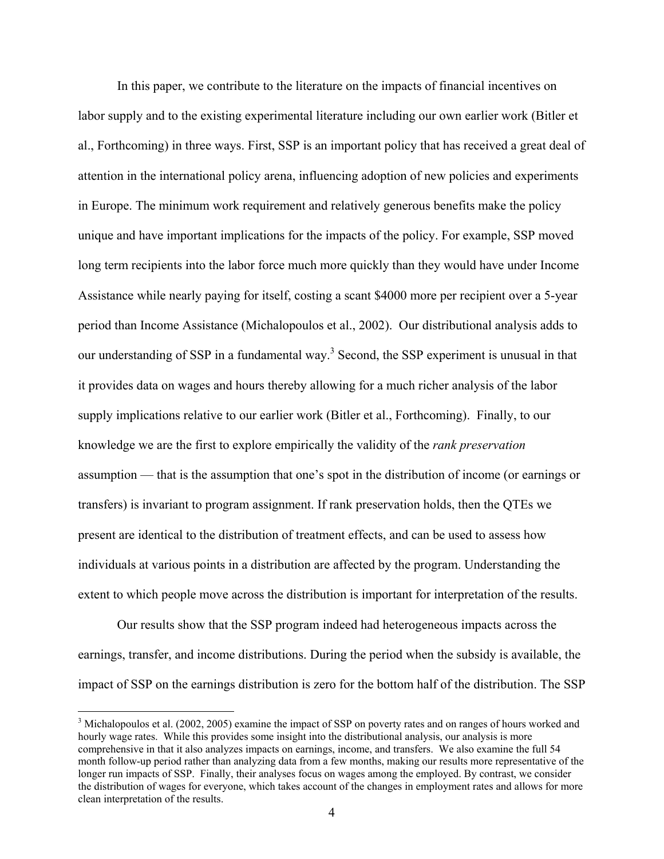In this paper, we contribute to the literature on the impacts of financial incentives on labor supply and to the existing experimental literature including our own earlier work (Bitler et al., Forthcoming) in three ways. First, SSP is an important policy that has received a great deal of attention in the international policy arena, influencing adoption of new policies and experiments in Europe. The minimum work requirement and relatively generous benefits make the policy unique and have important implications for the impacts of the policy. For example, SSP moved long term recipients into the labor force much more quickly than they would have under Income Assistance while nearly paying for itself, costing a scant \$4000 more per recipient over a 5-year period than Income Assistance (Michalopoulos et al., 2002). Our distributional analysis adds to our understanding of SSP in a fundamental way.<sup>3</sup> Second, the SSP experiment is unusual in that it provides data on wages and hours thereby allowing for a much richer analysis of the labor supply implications relative to our earlier work (Bitler et al., Forthcoming). Finally, to our knowledge we are the first to explore empirically the validity of the *rank preservation*  assumption — that is the assumption that one's spot in the distribution of income (or earnings or transfers) is invariant to program assignment. If rank preservation holds, then the QTEs we present are identical to the distribution of treatment effects, and can be used to assess how individuals at various points in a distribution are affected by the program. Understanding the extent to which people move across the distribution is important for interpretation of the results.

 Our results show that the SSP program indeed had heterogeneous impacts across the earnings, transfer, and income distributions. During the period when the subsidy is available, the impact of SSP on the earnings distribution is zero for the bottom half of the distribution. The SSP

 $3$  Michalopoulos et al. (2002, 2005) examine the impact of SSP on poverty rates and on ranges of hours worked and hourly wage rates. While this provides some insight into the distributional analysis, our analysis is more comprehensive in that it also analyzes impacts on earnings, income, and transfers. We also examine the full 54 month follow-up period rather than analyzing data from a few months, making our results more representative of the longer run impacts of SSP. Finally, their analyses focus on wages among the employed. By contrast, we consider the distribution of wages for everyone, which takes account of the changes in employment rates and allows for more clean interpretation of the results.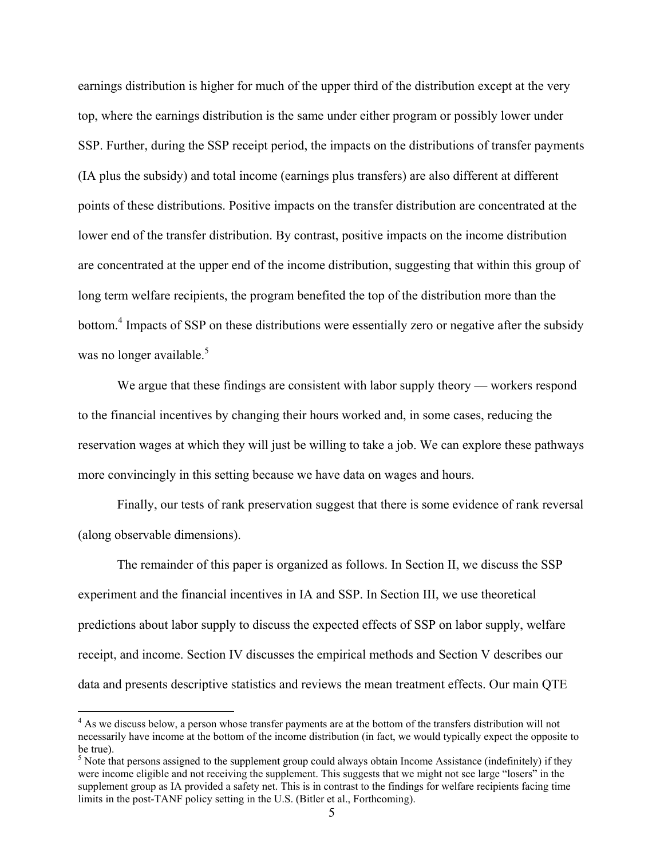earnings distribution is higher for much of the upper third of the distribution except at the very top, where the earnings distribution is the same under either program or possibly lower under SSP. Further, during the SSP receipt period, the impacts on the distributions of transfer payments (IA plus the subsidy) and total income (earnings plus transfers) are also different at different points of these distributions. Positive impacts on the transfer distribution are concentrated at the lower end of the transfer distribution. By contrast, positive impacts on the income distribution are concentrated at the upper end of the income distribution, suggesting that within this group of long term welfare recipients, the program benefited the top of the distribution more than the bottom.<sup>4</sup> Impacts of SSP on these distributions were essentially zero or negative after the subsidy was no longer available. $5$ 

We argue that these findings are consistent with labor supply theory — workers respond to the financial incentives by changing their hours worked and, in some cases, reducing the reservation wages at which they will just be willing to take a job. We can explore these pathways more convincingly in this setting because we have data on wages and hours.

Finally, our tests of rank preservation suggest that there is some evidence of rank reversal (along observable dimensions).

The remainder of this paper is organized as follows. In Section II, we discuss the SSP experiment and the financial incentives in IA and SSP. In Section III, we use theoretical predictions about labor supply to discuss the expected effects of SSP on labor supply, welfare receipt, and income. Section IV discusses the empirical methods and Section V describes our data and presents descriptive statistics and reviews the mean treatment effects. Our main QTE

<sup>&</sup>lt;sup>4</sup> As we discuss below, a person whose transfer payments are at the bottom of the transfers distribution will not necessarily have income at the bottom of the income distribution (in fact, we would typically expect the opposite to be true).

 $<sup>5</sup>$  Note that persons assigned to the supplement group could always obtain Income Assistance (indefinitely) if they</sup> were income eligible and not receiving the supplement. This suggests that we might not see large "losers" in the supplement group as IA provided a safety net. This is in contrast to the findings for welfare recipients facing time limits in the post-TANF policy setting in the U.S. (Bitler et al., Forthcoming).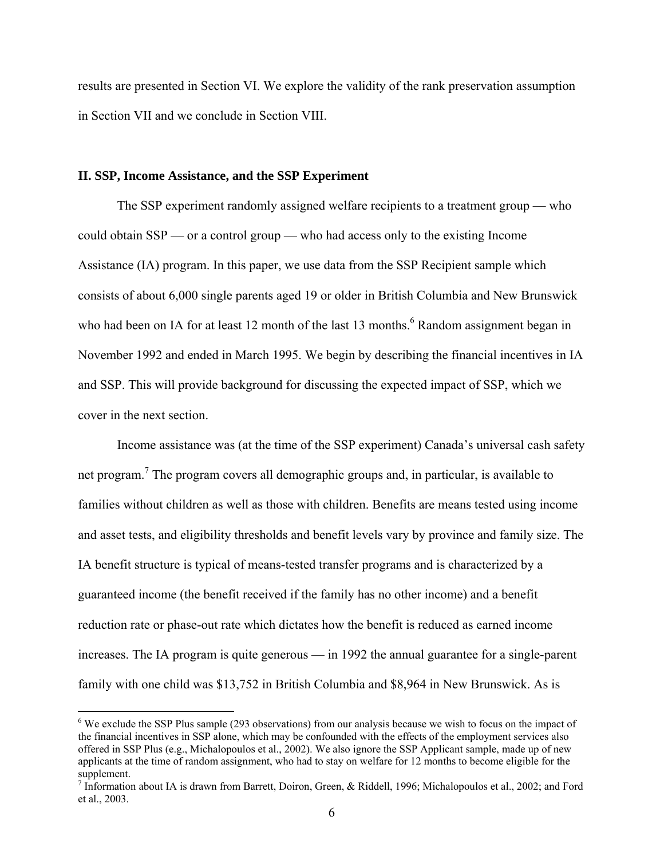results are presented in Section VI. We explore the validity of the rank preservation assumption in Section VII and we conclude in Section VIII.

## **II. SSP, Income Assistance, and the SSP Experiment**

 $\overline{a}$ 

The SSP experiment randomly assigned welfare recipients to a treatment group — who could obtain SSP — or a control group — who had access only to the existing Income Assistance (IA) program. In this paper, we use data from the SSP Recipient sample which consists of about 6,000 single parents aged 19 or older in British Columbia and New Brunswick who had been on IA for at least 12 month of the last 13 months.<sup>6</sup> Random assignment began in November 1992 and ended in March 1995. We begin by describing the financial incentives in IA and SSP. This will provide background for discussing the expected impact of SSP, which we cover in the next section.

Income assistance was (at the time of the SSP experiment) Canada's universal cash safety net program.<sup>7</sup> The program covers all demographic groups and, in particular, is available to families without children as well as those with children. Benefits are means tested using income and asset tests, and eligibility thresholds and benefit levels vary by province and family size. The IA benefit structure is typical of means-tested transfer programs and is characterized by a guaranteed income (the benefit received if the family has no other income) and a benefit reduction rate or phase-out rate which dictates how the benefit is reduced as earned income increases. The IA program is quite generous — in 1992 the annual guarantee for a single-parent family with one child was \$13,752 in British Columbia and \$8,964 in New Brunswick. As is

<sup>&</sup>lt;sup>6</sup> We exclude the SSP Plus sample (293 observations) from our analysis because we wish to focus on the impact of the financial incentives in SSP alone, which may be confounded with the effects of the employment services also offered in SSP Plus (e.g., Michalopoulos et al., 2002). We also ignore the SSP Applicant sample, made up of new applicants at the time of random assignment, who had to stay on welfare for 12 months to become eligible for the supplement.

<sup>&</sup>lt;sup>7</sup> Information about IA is drawn from Barrett, Doiron, Green, & Riddell, 1996; Michalopoulos et al., 2002; and Ford et al., 2003.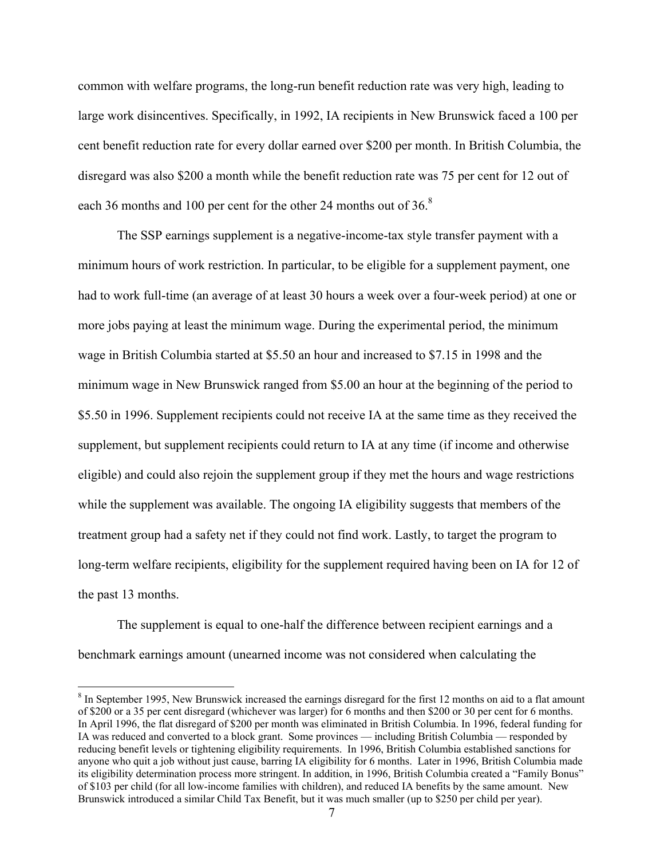common with welfare programs, the long-run benefit reduction rate was very high, leading to large work disincentives. Specifically, in 1992, IA recipients in New Brunswick faced a 100 per cent benefit reduction rate for every dollar earned over \$200 per month. In British Columbia, the disregard was also \$200 a month while the benefit reduction rate was 75 per cent for 12 out of each 36 months and 100 per cent for the other 24 months out of 36.<sup>8</sup>

The SSP earnings supplement is a negative-income-tax style transfer payment with a minimum hours of work restriction. In particular, to be eligible for a supplement payment, one had to work full-time (an average of at least 30 hours a week over a four-week period) at one or more jobs paying at least the minimum wage. During the experimental period, the minimum wage in British Columbia started at \$5.50 an hour and increased to \$7.15 in 1998 and the minimum wage in New Brunswick ranged from \$5.00 an hour at the beginning of the period to \$5.50 in 1996. Supplement recipients could not receive IA at the same time as they received the supplement, but supplement recipients could return to IA at any time (if income and otherwise eligible) and could also rejoin the supplement group if they met the hours and wage restrictions while the supplement was available. The ongoing IA eligibility suggests that members of the treatment group had a safety net if they could not find work. Lastly, to target the program to long-term welfare recipients, eligibility for the supplement required having been on IA for 12 of the past 13 months.

The supplement is equal to one-half the difference between recipient earnings and a benchmark earnings amount (unearned income was not considered when calculating the

<u>.</u>

 $8 \text{ In September 1995},$  New Brunswick increased the earnings disregard for the first 12 months on aid to a flat amount of \$200 or a 35 per cent disregard (whichever was larger) for 6 months and then \$200 or 30 per cent for 6 months. In April 1996, the flat disregard of \$200 per month was eliminated in British Columbia. In 1996, federal funding for IA was reduced and converted to a block grant. Some provinces — including British Columbia — responded by reducing benefit levels or tightening eligibility requirements. In 1996, British Columbia established sanctions for anyone who quit a job without just cause, barring IA eligibility for 6 months. Later in 1996, British Columbia made its eligibility determination process more stringent. In addition, in 1996, British Columbia created a "Family Bonus" of \$103 per child (for all low-income families with children), and reduced IA benefits by the same amount. New Brunswick introduced a similar Child Tax Benefit, but it was much smaller (up to \$250 per child per year).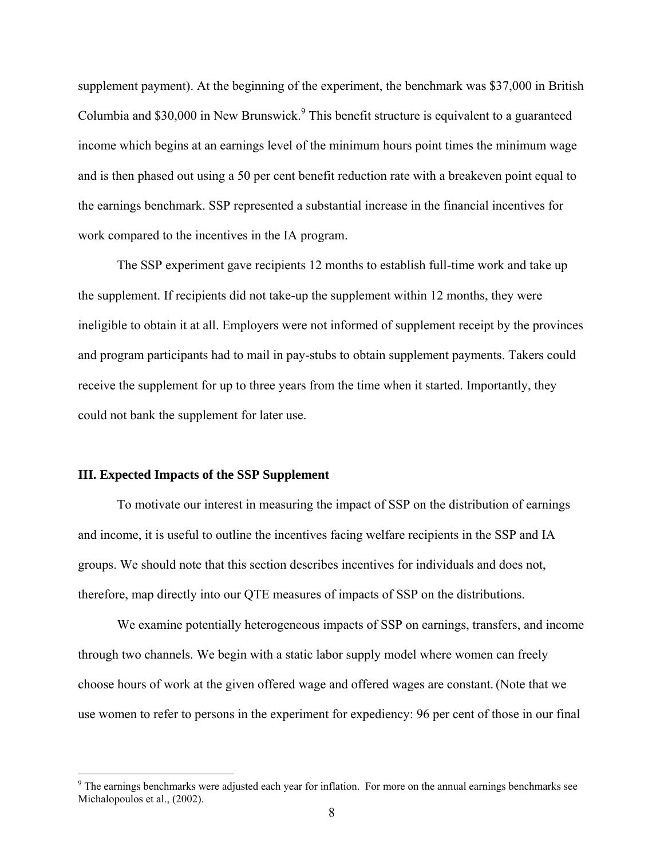supplement payment). At the beginning of the experiment, the benchmark was \$37,000 in British Columbia and \$30,000 in New Brunswick.<sup>9</sup> This benefit structure is equivalent to a guaranteed income which begins at an earnings level of the minimum hours point times the minimum wage and is then phased out using a 50 per cent benefit reduction rate with a breakeven point equal to the earnings benchmark. SSP represented a substantial increase in the financial incentives for work compared to the incentives in the IA program.

The SSP experiment gave recipients 12 months to establish full-time work and take up the supplement. If recipients did not take-up the supplement within 12 months, they were ineligible to obtain it at all. Employers were not informed of supplement receipt by the provinces and program participants had to mail in pay-stubs to obtain supplement payments. Takers could receive the supplement for up to three years from the time when it started. Importantly, they could not bank the supplement for later use.

## **III. Expected Impacts of the SSP Supplement**

 $\overline{a}$ 

To motivate our interest in measuring the impact of SSP on the distribution of earnings and income, it is useful to outline the incentives facing welfare recipients in the SSP and IA groups. We should note that this section describes incentives for individuals and does not, therefore, map directly into our QTE measures of impacts of SSP on the distributions.

We examine potentially heterogeneous impacts of SSP on earnings, transfers, and income through two channels. We begin with a static labor supply model where women can freely choose hours of work at the given offered wage and offered wages are constant.(Note that we use women to refer to persons in the experiment for expediency: 96 per cent of those in our final

<sup>&</sup>lt;sup>9</sup> The earnings benchmarks were adjusted each year for inflation. For more on the annual earnings benchmarks see Michalopoulos et al., (2002).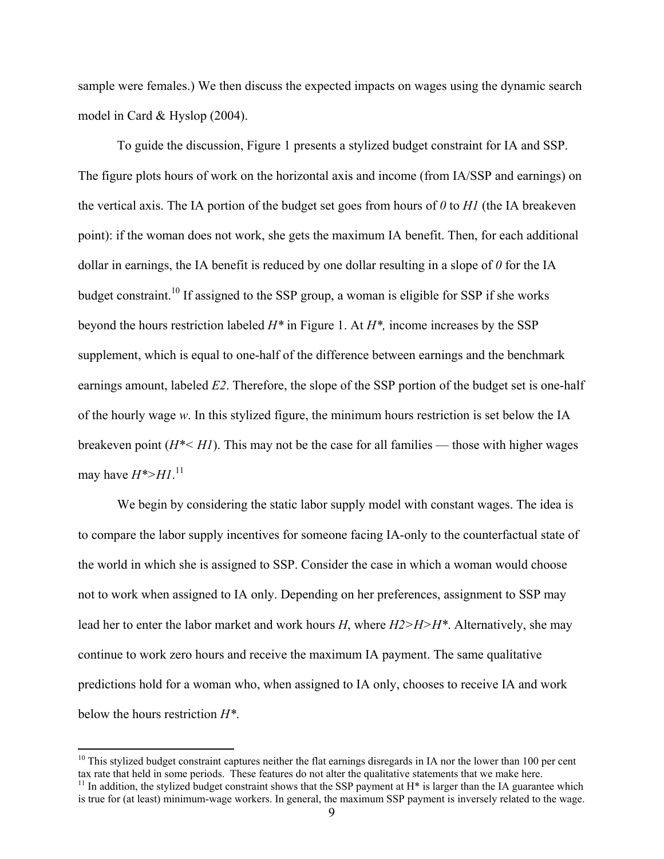sample were females.) We then discuss the expected impacts on wages using the dynamic search model in Card & Hyslop (2004).

To guide the discussion, Figure 1 presents a stylized budget constraint for IA and SSP. The figure plots hours of work on the horizontal axis and income (from IA/SSP and earnings) on the vertical axis. The IA portion of the budget set goes from hours of *0* to *H1* (the IA breakeven point): if the woman does not work, she gets the maximum IA benefit. Then, for each additional dollar in earnings, the IA benefit is reduced by one dollar resulting in a slope of *0* for the IA budget constraint.10 If assigned to the SSP group, a woman is eligible for SSP if she works beyond the hours restriction labeled *H\** in Figure 1. At *H\*,* income increases by the SSP supplement, which is equal to one-half of the difference between earnings and the benchmark earnings amount, labeled *E2*. Therefore, the slope of the SSP portion of the budget set is one-half of the hourly wage *w*. In this stylized figure, the minimum hours restriction is set below the IA breakeven point  $(H^* \leq H)$ . This may not be the case for all families — those with higher wages may have *H\*>H1*. 11

We begin by considering the static labor supply model with constant wages. The idea is to compare the labor supply incentives for someone facing IA-only to the counterfactual state of the world in which she is assigned to SSP. Consider the case in which a woman would choose not to work when assigned to IA only. Depending on her preferences, assignment to SSP may lead her to enter the labor market and work hours *H*, where *H2>H>H\**. Alternatively, she may continue to work zero hours and receive the maximum IA payment. The same qualitative predictions hold for a woman who, when assigned to IA only, chooses to receive IA and work below the hours restriction *H\**.

 $10$  This stylized budget constraint captures neither the flat earnings disregards in IA nor the lower than 100 per cent tax rate that held in some periods. These features do not alter the qualitative statements that we make here.  $11$  In addition, the stylized budget constraint shows that the SSP payment at H<sup>\*</sup> is larger than the IA guarantee which

is true for (at least) minimum-wage workers. In general, the maximum SSP payment is inversely related to the wage.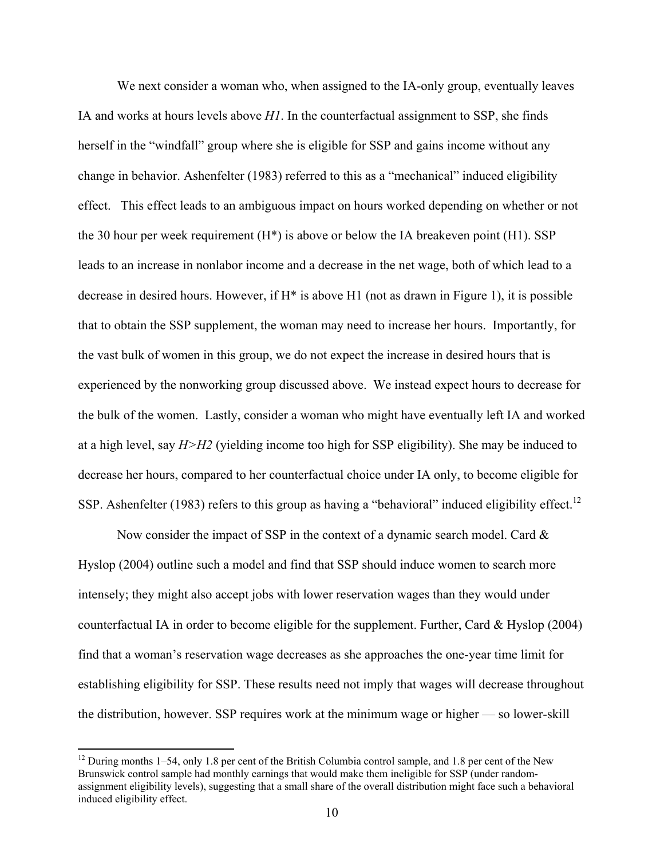We next consider a woman who, when assigned to the IA-only group, eventually leaves IA and works at hours levels above *H1*. In the counterfactual assignment to SSP, she finds herself in the "windfall" group where she is eligible for SSP and gains income without any change in behavior. Ashenfelter (1983) referred to this as a "mechanical" induced eligibility effect. This effect leads to an ambiguous impact on hours worked depending on whether or not the 30 hour per week requirement  $(H^*)$  is above or below the IA breakeven point  $(H1)$ . SSP leads to an increase in nonlabor income and a decrease in the net wage, both of which lead to a decrease in desired hours. However, if H\* is above H1 (not as drawn in Figure 1), it is possible that to obtain the SSP supplement, the woman may need to increase her hours. Importantly, for the vast bulk of women in this group, we do not expect the increase in desired hours that is experienced by the nonworking group discussed above. We instead expect hours to decrease for the bulk of the women. Lastly, consider a woman who might have eventually left IA and worked at a high level, say *H>H2* (yielding income too high for SSP eligibility). She may be induced to decrease her hours, compared to her counterfactual choice under IA only, to become eligible for SSP. Ashenfelter (1983) refers to this group as having a "behavioral" induced eligibility effect.<sup>12</sup>

Now consider the impact of SSP in the context of a dynamic search model. Card  $\&$ Hyslop (2004) outline such a model and find that SSP should induce women to search more intensely; they might also accept jobs with lower reservation wages than they would under counterfactual IA in order to become eligible for the supplement. Further, Card & Hyslop (2004) find that a woman's reservation wage decreases as she approaches the one-year time limit for establishing eligibility for SSP. These results need not imply that wages will decrease throughout the distribution, however. SSP requires work at the minimum wage or higher — so lower-skill

 $12$  During months 1–54, only 1.8 per cent of the British Columbia control sample, and 1.8 per cent of the New Brunswick control sample had monthly earnings that would make them ineligible for SSP (under randomassignment eligibility levels), suggesting that a small share of the overall distribution might face such a behavioral induced eligibility effect.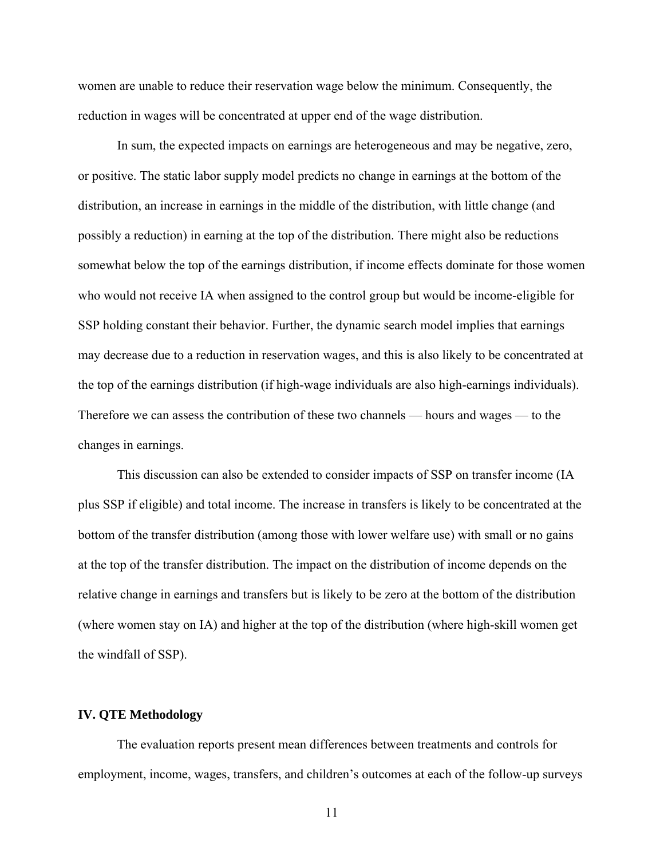women are unable to reduce their reservation wage below the minimum. Consequently, the reduction in wages will be concentrated at upper end of the wage distribution.

In sum, the expected impacts on earnings are heterogeneous and may be negative, zero, or positive. The static labor supply model predicts no change in earnings at the bottom of the distribution, an increase in earnings in the middle of the distribution, with little change (and possibly a reduction) in earning at the top of the distribution. There might also be reductions somewhat below the top of the earnings distribution, if income effects dominate for those women who would not receive IA when assigned to the control group but would be income-eligible for SSP holding constant their behavior. Further, the dynamic search model implies that earnings may decrease due to a reduction in reservation wages, and this is also likely to be concentrated at the top of the earnings distribution (if high-wage individuals are also high-earnings individuals). Therefore we can assess the contribution of these two channels — hours and wages — to the changes in earnings.

This discussion can also be extended to consider impacts of SSP on transfer income (IA plus SSP if eligible) and total income. The increase in transfers is likely to be concentrated at the bottom of the transfer distribution (among those with lower welfare use) with small or no gains at the top of the transfer distribution. The impact on the distribution of income depends on the relative change in earnings and transfers but is likely to be zero at the bottom of the distribution (where women stay on IA) and higher at the top of the distribution (where high-skill women get the windfall of SSP).

## **IV. QTE Methodology**

The evaluation reports present mean differences between treatments and controls for employment, income, wages, transfers, and children's outcomes at each of the follow-up surveys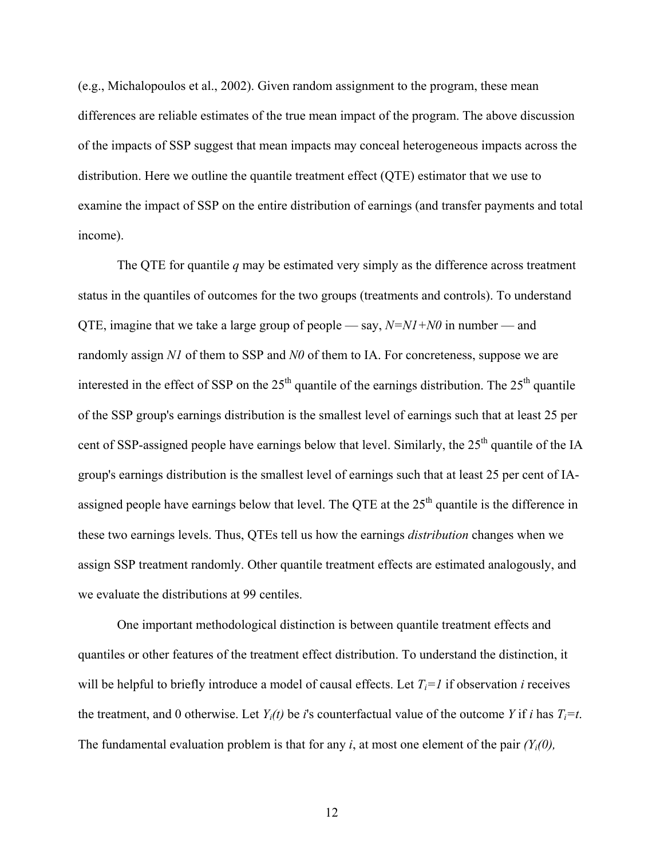(e.g., Michalopoulos et al., 2002). Given random assignment to the program, these mean differences are reliable estimates of the true mean impact of the program. The above discussion of the impacts of SSP suggest that mean impacts may conceal heterogeneous impacts across the distribution. Here we outline the quantile treatment effect (QTE) estimator that we use to examine the impact of SSP on the entire distribution of earnings (and transfer payments and total income).

The QTE for quantile *q* may be estimated very simply as the difference across treatment status in the quantiles of outcomes for the two groups (treatments and controls). To understand QTE, imagine that we take a large group of people — say, *N=N1+N0* in number — and randomly assign *N1* of them to SSP and *N0* of them to IA. For concreteness, suppose we are interested in the effect of SSP on the  $25<sup>th</sup>$  quantile of the earnings distribution. The  $25<sup>th</sup>$  quantile of the SSP group's earnings distribution is the smallest level of earnings such that at least 25 per cent of SSP-assigned people have earnings below that level. Similarly, the 25<sup>th</sup> quantile of the IA group's earnings distribution is the smallest level of earnings such that at least 25 per cent of IAassigned people have earnings below that level. The QTE at the  $25<sup>th</sup>$  quantile is the difference in these two earnings levels. Thus, QTEs tell us how the earnings *distribution* changes when we assign SSP treatment randomly. Other quantile treatment effects are estimated analogously, and we evaluate the distributions at 99 centiles.

One important methodological distinction is between quantile treatment effects and quantiles or other features of the treatment effect distribution. To understand the distinction, it will be helpful to briefly introduce a model of causal effects. Let  $T_i=1$  if observation *i* receives the treatment, and 0 otherwise. Let  $Y_i(t)$  be *i*'s counterfactual value of the outcome *Y* if *i* has  $T_i = t$ . The fundamental evaluation problem is that for any *i*, at most one element of the pair  $(Y_i(0))$ ,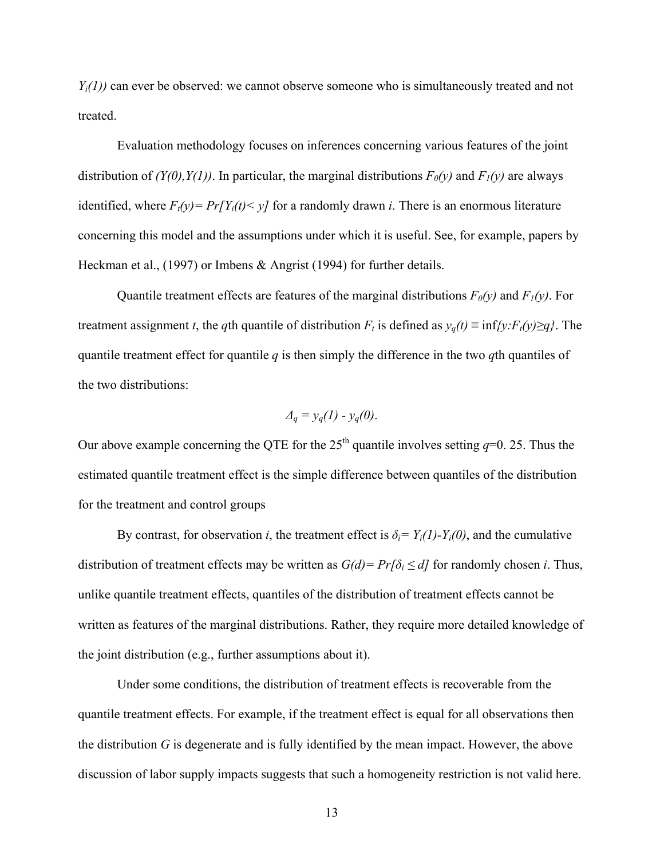*Yi(1))* can ever be observed: we cannot observe someone who is simultaneously treated and not treated.

Evaluation methodology focuses on inferences concerning various features of the joint distribution of  $(Y(0), Y(1))$ . In particular, the marginal distributions  $F_0(y)$  and  $F_1(y)$  are always identified, where  $F_t(y) = Pr[Y_i(t) \le y]$  for a randomly drawn *i*. There is an enormous literature concerning this model and the assumptions under which it is useful. See, for example, papers by Heckman et al., (1997) or Imbens & Angrist (1994) for further details.

Quantile treatment effects are features of the marginal distributions  $F_0(y)$  and  $F_1(y)$ . For treatment assignment *t*, the *q*th quantile of distribution  $F_t$  is defined as  $y_q(t) \equiv \inf\{y: F_t(y) \geq q\}$ . The quantile treatment effect for quantile *q* is then simply the difference in the two *q*th quantiles of the two distributions:

$$
\varDelta_q = y_q(1) - y_q(0).
$$

Our above example concerning the QTE for the  $25<sup>th</sup>$  quantile involves setting  $q=0$ . 25. Thus the estimated quantile treatment effect is the simple difference between quantiles of the distribution for the treatment and control groups

By contrast, for observation *i*, the treatment effect is  $\delta_i = Y_i(1) - Y_i(0)$ , and the cumulative distribution of treatment effects may be written as  $G(d) = Pr[\delta_i \le d]$  for randomly chosen *i*. Thus, unlike quantile treatment effects, quantiles of the distribution of treatment effects cannot be written as features of the marginal distributions. Rather, they require more detailed knowledge of the joint distribution (e.g., further assumptions about it).

Under some conditions, the distribution of treatment effects is recoverable from the quantile treatment effects. For example, if the treatment effect is equal for all observations then the distribution *G* is degenerate and is fully identified by the mean impact. However, the above discussion of labor supply impacts suggests that such a homogeneity restriction is not valid here.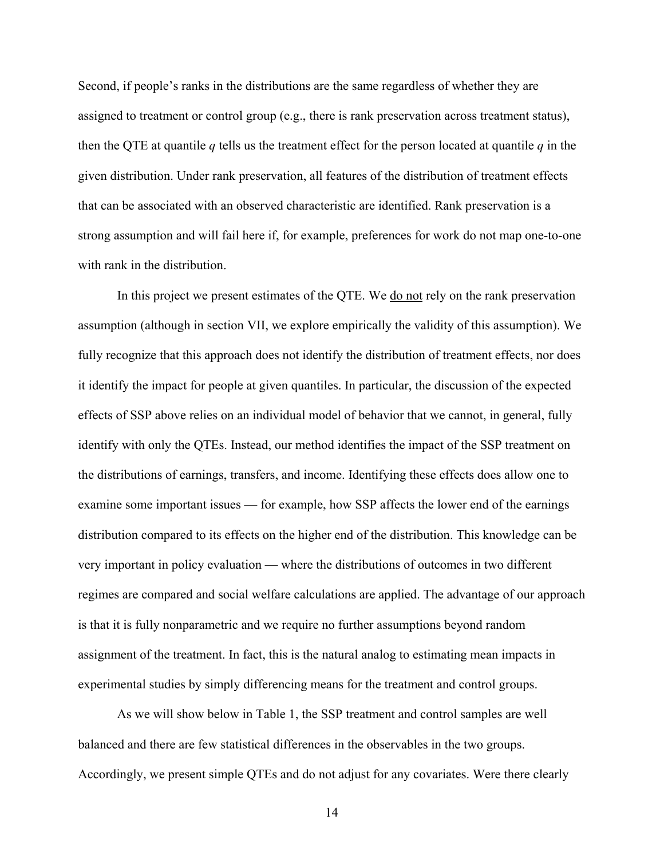Second, if people's ranks in the distributions are the same regardless of whether they are assigned to treatment or control group (e.g., there is rank preservation across treatment status), then the QTE at quantile  $q$  tells us the treatment effect for the person located at quantile  $q$  in the given distribution. Under rank preservation, all features of the distribution of treatment effects that can be associated with an observed characteristic are identified. Rank preservation is a strong assumption and will fail here if, for example, preferences for work do not map one-to-one with rank in the distribution.

In this project we present estimates of the QTE. We do not rely on the rank preservation assumption (although in section VII, we explore empirically the validity of this assumption). We fully recognize that this approach does not identify the distribution of treatment effects, nor does it identify the impact for people at given quantiles. In particular, the discussion of the expected effects of SSP above relies on an individual model of behavior that we cannot, in general, fully identify with only the QTEs. Instead, our method identifies the impact of the SSP treatment on the distributions of earnings, transfers, and income. Identifying these effects does allow one to examine some important issues — for example, how SSP affects the lower end of the earnings distribution compared to its effects on the higher end of the distribution. This knowledge can be very important in policy evaluation — where the distributions of outcomes in two different regimes are compared and social welfare calculations are applied. The advantage of our approach is that it is fully nonparametric and we require no further assumptions beyond random assignment of the treatment. In fact, this is the natural analog to estimating mean impacts in experimental studies by simply differencing means for the treatment and control groups.

As we will show below in Table 1, the SSP treatment and control samples are well balanced and there are few statistical differences in the observables in the two groups. Accordingly, we present simple QTEs and do not adjust for any covariates. Were there clearly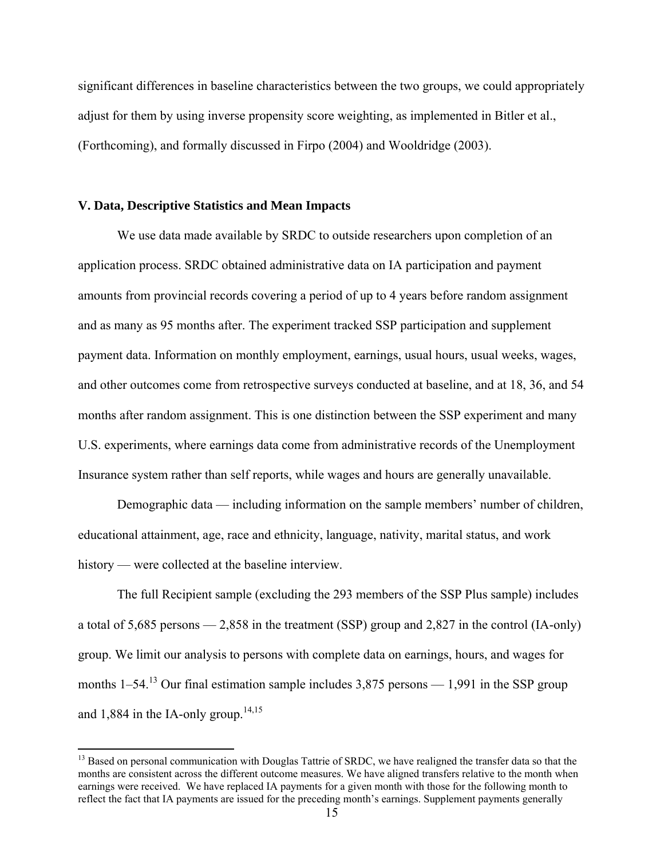significant differences in baseline characteristics between the two groups, we could appropriately adjust for them by using inverse propensity score weighting, as implemented in Bitler et al., (Forthcoming), and formally discussed in Firpo (2004) and Wooldridge (2003).

## **V. Data, Descriptive Statistics and Mean Impacts**

 $\overline{a}$ 

We use data made available by SRDC to outside researchers upon completion of an application process. SRDC obtained administrative data on IA participation and payment amounts from provincial records covering a period of up to 4 years before random assignment and as many as 95 months after. The experiment tracked SSP participation and supplement payment data. Information on monthly employment, earnings, usual hours, usual weeks, wages, and other outcomes come from retrospective surveys conducted at baseline, and at 18, 36, and 54 months after random assignment. This is one distinction between the SSP experiment and many U.S. experiments, where earnings data come from administrative records of the Unemployment Insurance system rather than self reports, while wages and hours are generally unavailable.

Demographic data — including information on the sample members' number of children, educational attainment, age, race and ethnicity, language, nativity, marital status, and work history — were collected at the baseline interview.

The full Recipient sample (excluding the 293 members of the SSP Plus sample) includes a total of 5,685 persons — 2,858 in the treatment (SSP) group and 2,827 in the control (IA-only) group. We limit our analysis to persons with complete data on earnings, hours, and wages for months  $1-54$ .<sup>13</sup> Our final estimation sample includes 3,875 persons — 1,991 in the SSP group and 1,884 in the IA-only group.<sup>14,15</sup>

<sup>&</sup>lt;sup>13</sup> Based on personal communication with Douglas Tattrie of SRDC, we have realigned the transfer data so that the months are consistent across the different outcome measures. We have aligned transfers relative to the month when earnings were received. We have replaced IA payments for a given month with those for the following month to reflect the fact that IA payments are issued for the preceding month's earnings. Supplement payments generally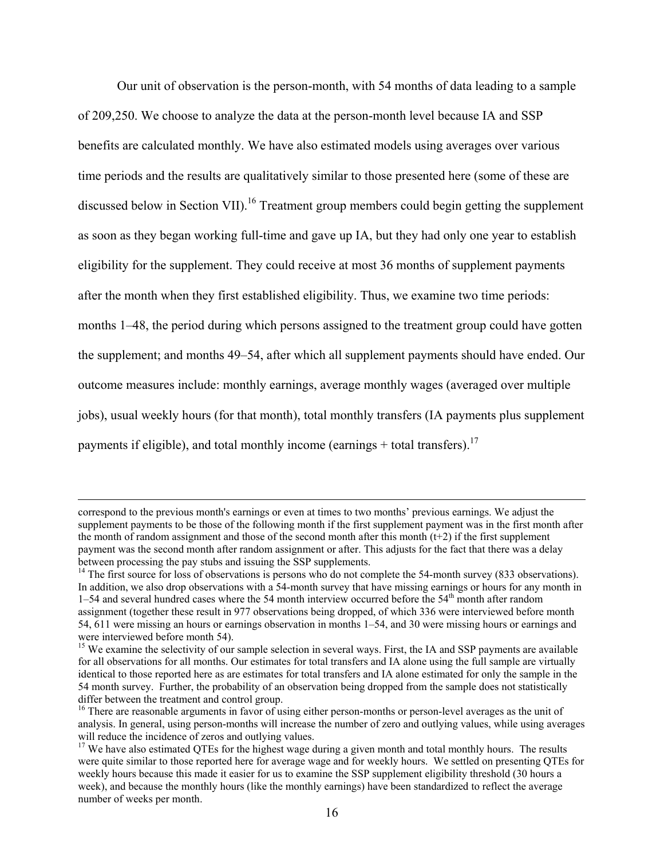Our unit of observation is the person-month, with 54 months of data leading to a sample of 209,250. We choose to analyze the data at the person-month level because IA and SSP benefits are calculated monthly. We have also estimated models using averages over various time periods and the results are qualitatively similar to those presented here (some of these are discussed below in Section VII).<sup>16</sup> Treatment group members could begin getting the supplement as soon as they began working full-time and gave up IA, but they had only one year to establish eligibility for the supplement. They could receive at most 36 months of supplement payments after the month when they first established eligibility. Thus, we examine two time periods: months 1–48, the period during which persons assigned to the treatment group could have gotten the supplement; and months 49–54, after which all supplement payments should have ended. Our outcome measures include: monthly earnings, average monthly wages (averaged over multiple jobs), usual weekly hours (for that month), total monthly transfers (IA payments plus supplement payments if eligible), and total monthly income (earnings + total transfers).<sup>17</sup>

correspond to the previous month's earnings or even at times to two months' previous earnings. We adjust the supplement payments to be those of the following month if the first supplement payment was in the first month after the month of random assignment and those of the second month after this month  $(t+2)$  if the first supplement payment was the second month after random assignment or after. This adjusts for the fact that there was a delay between processing the pay stubs and issuing the SSP supplements.

<sup>&</sup>lt;sup>14</sup> The first source for loss of observations is persons who do not complete the 54-month survey (833 observations). In addition, we also drop observations with a 54-month survey that have missing earnings or hours for any month in  $1-54$  and several hundred cases where the 54 month interview occurred before the  $54<sup>th</sup>$  month after random assignment (together these result in 977 observations being dropped, of which 336 were interviewed before month 54, 611 were missing an hours or earnings observation in months 1–54, and 30 were missing hours or earnings and were interviewed before month 54).

<sup>&</sup>lt;sup>15</sup> We examine the selectivity of our sample selection in several ways. First, the IA and SSP payments are available for all observations for all months. Our estimates for total transfers and IA alone using the full sample are virtually identical to those reported here as are estimates for total transfers and IA alone estimated for only the sample in the 54 month survey. Further, the probability of an observation being dropped from the sample does not statistically differ between the treatment and control group.

<sup>&</sup>lt;sup>16</sup> There are reasonable arguments in favor of using either person-months or person-level averages as the unit of analysis. In general, using person-months will increase the number of zero and outlying values, while using averages will reduce the incidence of zeros and outlying values.

<sup>&</sup>lt;sup>17</sup> We have also estimated QTEs for the highest wage during a given month and total monthly hours. The results were quite similar to those reported here for average wage and for weekly hours. We settled on presenting QTEs for weekly hours because this made it easier for us to examine the SSP supplement eligibility threshold (30 hours a week), and because the monthly hours (like the monthly earnings) have been standardized to reflect the average number of weeks per month.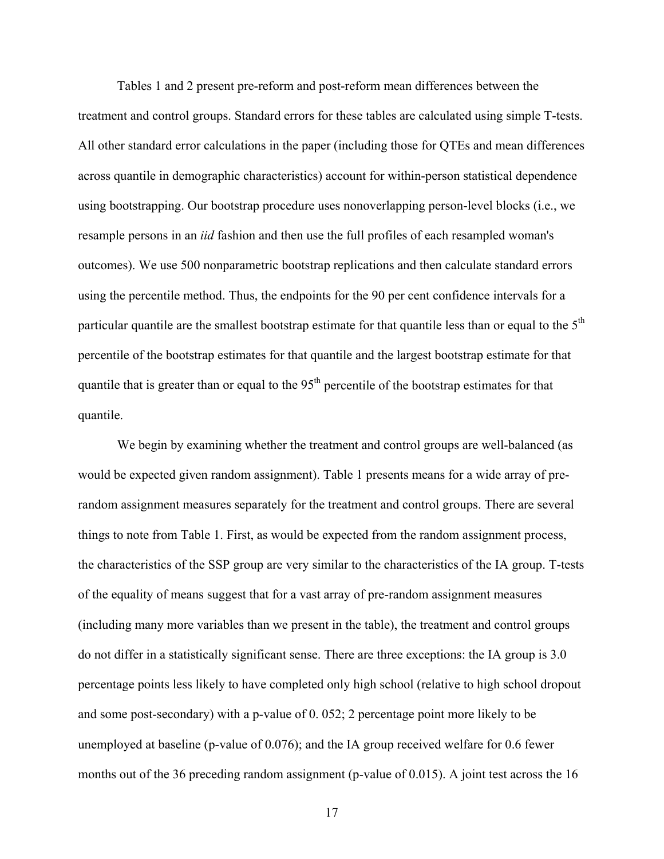Tables 1 and 2 present pre-reform and post-reform mean differences between the treatment and control groups. Standard errors for these tables are calculated using simple T-tests. All other standard error calculations in the paper (including those for QTEs and mean differences across quantile in demographic characteristics) account for within-person statistical dependence using bootstrapping. Our bootstrap procedure uses nonoverlapping person-level blocks (i.e., we resample persons in an *iid* fashion and then use the full profiles of each resampled woman's outcomes). We use 500 nonparametric bootstrap replications and then calculate standard errors using the percentile method. Thus, the endpoints for the 90 per cent confidence intervals for a particular quantile are the smallest bootstrap estimate for that quantile less than or equal to the  $5<sup>th</sup>$ percentile of the bootstrap estimates for that quantile and the largest bootstrap estimate for that quantile that is greater than or equal to the  $95<sup>th</sup>$  percentile of the bootstrap estimates for that quantile.

We begin by examining whether the treatment and control groups are well-balanced (as would be expected given random assignment). Table 1 presents means for a wide array of prerandom assignment measures separately for the treatment and control groups. There are several things to note from Table 1. First, as would be expected from the random assignment process, the characteristics of the SSP group are very similar to the characteristics of the IA group. T-tests of the equality of means suggest that for a vast array of pre-random assignment measures (including many more variables than we present in the table), the treatment and control groups do not differ in a statistically significant sense. There are three exceptions: the IA group is 3.0 percentage points less likely to have completed only high school (relative to high school dropout and some post-secondary) with a p-value of 0. 052; 2 percentage point more likely to be unemployed at baseline (p-value of 0.076); and the IA group received welfare for 0.6 fewer months out of the 36 preceding random assignment (p-value of 0.015). A joint test across the 16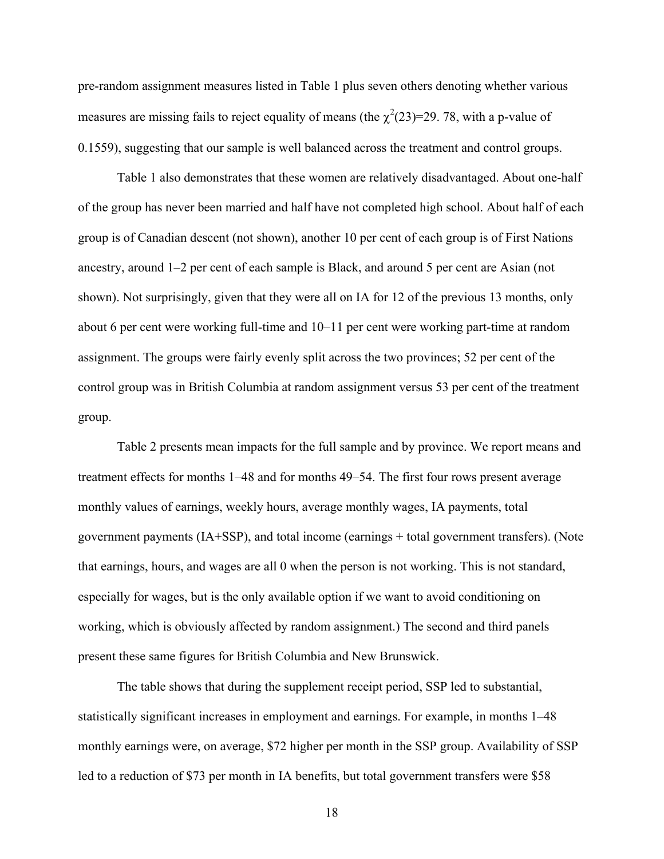pre-random assignment measures listed in Table 1 plus seven others denoting whether various measures are missing fails to reject equality of means (the  $\chi^2(23)=29$ . 78, with a p-value of 0.1559), suggesting that our sample is well balanced across the treatment and control groups.

Table 1 also demonstrates that these women are relatively disadvantaged. About one-half of the group has never been married and half have not completed high school. About half of each group is of Canadian descent (not shown), another 10 per cent of each group is of First Nations ancestry, around 1–2 per cent of each sample is Black, and around 5 per cent are Asian (not shown). Not surprisingly, given that they were all on IA for 12 of the previous 13 months, only about 6 per cent were working full-time and 10–11 per cent were working part-time at random assignment. The groups were fairly evenly split across the two provinces; 52 per cent of the control group was in British Columbia at random assignment versus 53 per cent of the treatment group.

 Table 2 presents mean impacts for the full sample and by province. We report means and treatment effects for months 1–48 and for months 49–54. The first four rows present average monthly values of earnings, weekly hours, average monthly wages, IA payments, total government payments (IA+SSP), and total income (earnings + total government transfers). (Note that earnings, hours, and wages are all 0 when the person is not working. This is not standard, especially for wages, but is the only available option if we want to avoid conditioning on working, which is obviously affected by random assignment.) The second and third panels present these same figures for British Columbia and New Brunswick.

The table shows that during the supplement receipt period, SSP led to substantial, statistically significant increases in employment and earnings. For example, in months 1–48 monthly earnings were, on average, \$72 higher per month in the SSP group. Availability of SSP led to a reduction of \$73 per month in IA benefits, but total government transfers were \$58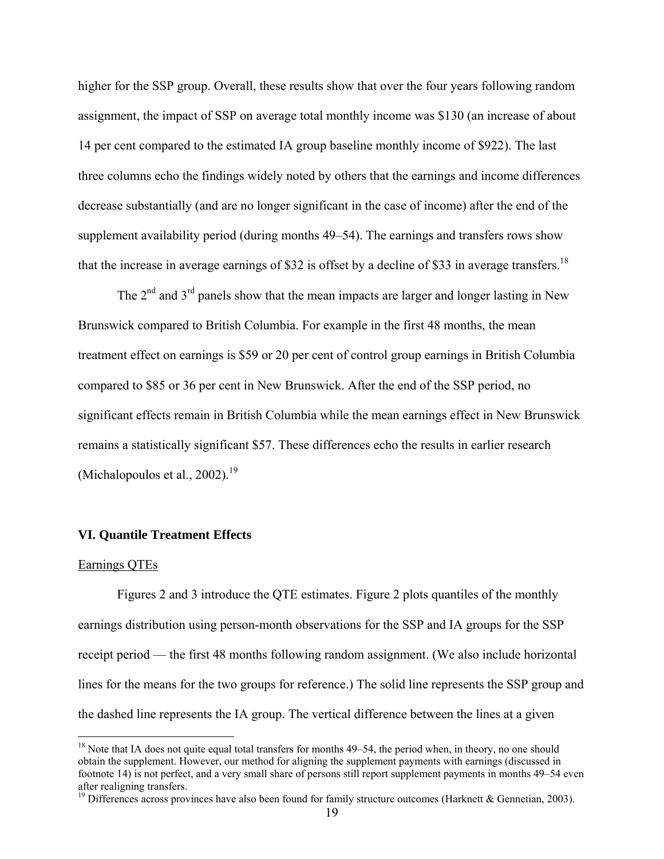higher for the SSP group. Overall, these results show that over the four years following random assignment, the impact of SSP on average total monthly income was \$130 (an increase of about 14 per cent compared to the estimated IA group baseline monthly income of \$922). The last three columns echo the findings widely noted by others that the earnings and income differences decrease substantially (and are no longer significant in the case of income) after the end of the supplement availability period (during months 49–54). The earnings and transfers rows show that the increase in average earnings of \$32 is offset by a decline of \$33 in average transfers.<sup>18</sup>

The  $2<sup>nd</sup>$  and  $3<sup>rd</sup>$  panels show that the mean impacts are larger and longer lasting in New Brunswick compared to British Columbia. For example in the first 48 months, the mean treatment effect on earnings is \$59 or 20 per cent of control group earnings in British Columbia compared to \$85 or 36 per cent in New Brunswick. After the end of the SSP period, no significant effects remain in British Columbia while the mean earnings effect in New Brunswick remains a statistically significant \$57. These differences echo the results in earlier research (Michalopoulos et al.,  $2002$ ).<sup>19</sup>

## **VI. Quantile Treatment Effects**

#### Earnings QTEs

 $\overline{a}$ 

Figures 2 and 3 introduce the QTE estimates. Figure 2 plots quantiles of the monthly earnings distribution using person-month observations for the SSP and IA groups for the SSP receipt period — the first 48 months following random assignment. (We also include horizontal lines for the means for the two groups for reference.) The solid line represents the SSP group and the dashed line represents the IA group. The vertical difference between the lines at a given

 $18$  Note that IA does not quite equal total transfers for months 49–54, the period when, in theory, no one should obtain the supplement. However, our method for aligning the supplement payments with earnings (discussed in footnote 14) is not perfect, and a very small share of persons still report supplement payments in months 49–54 even after realigning transfers.

<sup>&</sup>lt;sup>19</sup> Differences across provinces have also been found for family structure outcomes (Harknett & Gennetian, 2003).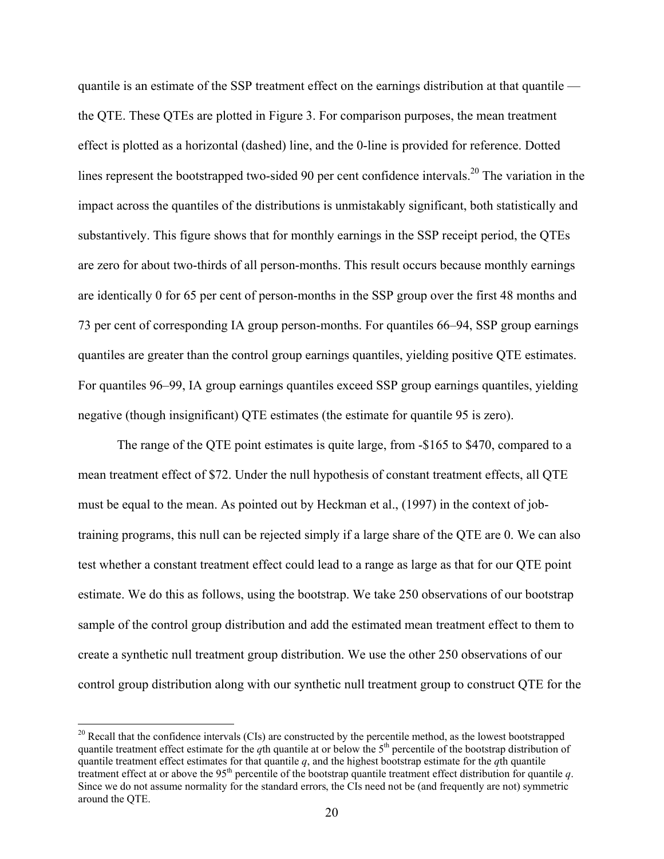quantile is an estimate of the SSP treatment effect on the earnings distribution at that quantile the QTE. These QTEs are plotted in Figure 3. For comparison purposes, the mean treatment effect is plotted as a horizontal (dashed) line, and the 0-line is provided for reference. Dotted lines represent the bootstrapped two-sided 90 per cent confidence intervals.<sup>20</sup> The variation in the impact across the quantiles of the distributions is unmistakably significant, both statistically and substantively. This figure shows that for monthly earnings in the SSP receipt period, the QTEs are zero for about two-thirds of all person-months. This result occurs because monthly earnings are identically 0 for 65 per cent of person-months in the SSP group over the first 48 months and 73 per cent of corresponding IA group person-months. For quantiles 66–94, SSP group earnings quantiles are greater than the control group earnings quantiles, yielding positive QTE estimates. For quantiles 96–99, IA group earnings quantiles exceed SSP group earnings quantiles, yielding negative (though insignificant) QTE estimates (the estimate for quantile 95 is zero).

The range of the QTE point estimates is quite large, from -\$165 to \$470, compared to a mean treatment effect of \$72. Under the null hypothesis of constant treatment effects, all QTE must be equal to the mean. As pointed out by Heckman et al., (1997) in the context of jobtraining programs, this null can be rejected simply if a large share of the QTE are 0. We can also test whether a constant treatment effect could lead to a range as large as that for our QTE point estimate. We do this as follows, using the bootstrap. We take 250 observations of our bootstrap sample of the control group distribution and add the estimated mean treatment effect to them to create a synthetic null treatment group distribution. We use the other 250 observations of our control group distribution along with our synthetic null treatment group to construct QTE for the

 $20$  Recall that the confidence intervals (CIs) are constructed by the percentile method, as the lowest bootstrapped quantile treatment effect estimate for the *q*th quantile at or below the 5<sup>th</sup> percentile of the bootstrap distribution of quantile treatment effect estimates for that quantile  $q$ , and the highest bootstrap estimate for the  $q$ th quantile treatment effect at or above the  $95<sup>th</sup>$  percentile of the bootstrap quantile treatment effect distribution for quantile  $q$ . Since we do not assume normality for the standard errors, the CIs need not be (and frequently are not) symmetric around the QTE.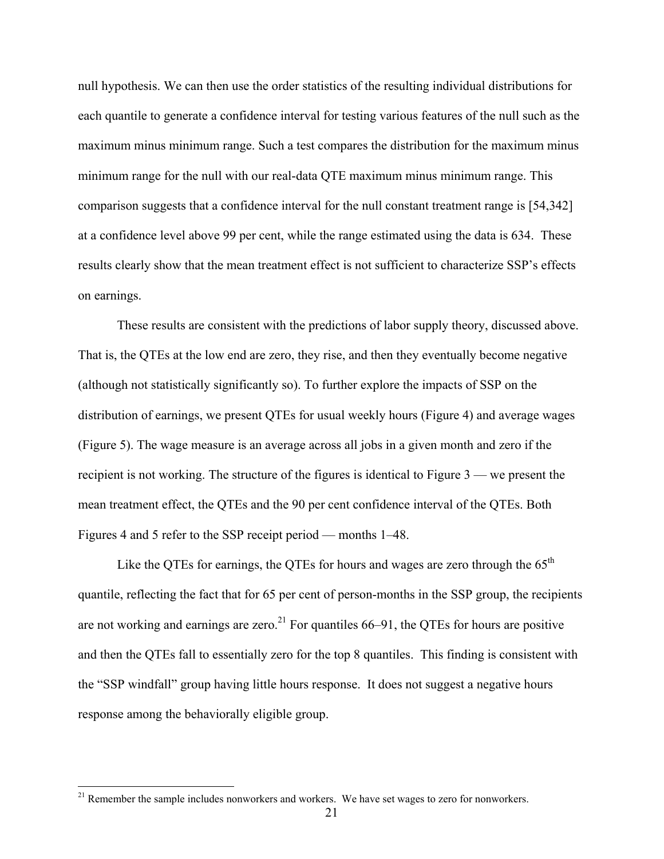null hypothesis. We can then use the order statistics of the resulting individual distributions for each quantile to generate a confidence interval for testing various features of the null such as the maximum minus minimum range. Such a test compares the distribution for the maximum minus minimum range for the null with our real-data QTE maximum minus minimum range. This comparison suggests that a confidence interval for the null constant treatment range is [54,342] at a confidence level above 99 per cent, while the range estimated using the data is 634. These results clearly show that the mean treatment effect is not sufficient to characterize SSP's effects on earnings.

These results are consistent with the predictions of labor supply theory, discussed above. That is, the QTEs at the low end are zero, they rise, and then they eventually become negative (although not statistically significantly so). To further explore the impacts of SSP on the distribution of earnings, we present QTEs for usual weekly hours (Figure 4) and average wages (Figure 5). The wage measure is an average across all jobs in a given month and zero if the recipient is not working. The structure of the figures is identical to Figure 3 — we present the mean treatment effect, the QTEs and the 90 per cent confidence interval of the QTEs. Both Figures 4 and 5 refer to the SSP receipt period — months 1–48.

Like the QTEs for earnings, the QTEs for hours and wages are zero through the  $65<sup>th</sup>$ quantile, reflecting the fact that for 65 per cent of person-months in the SSP group, the recipients are not working and earnings are zero.<sup>21</sup> For quantiles  $66-91$ , the QTEs for hours are positive and then the QTEs fall to essentially zero for the top 8 quantiles. This finding is consistent with the "SSP windfall" group having little hours response. It does not suggest a negative hours response among the behaviorally eligible group.

 $21$  Remember the sample includes nonworkers and workers. We have set wages to zero for nonworkers.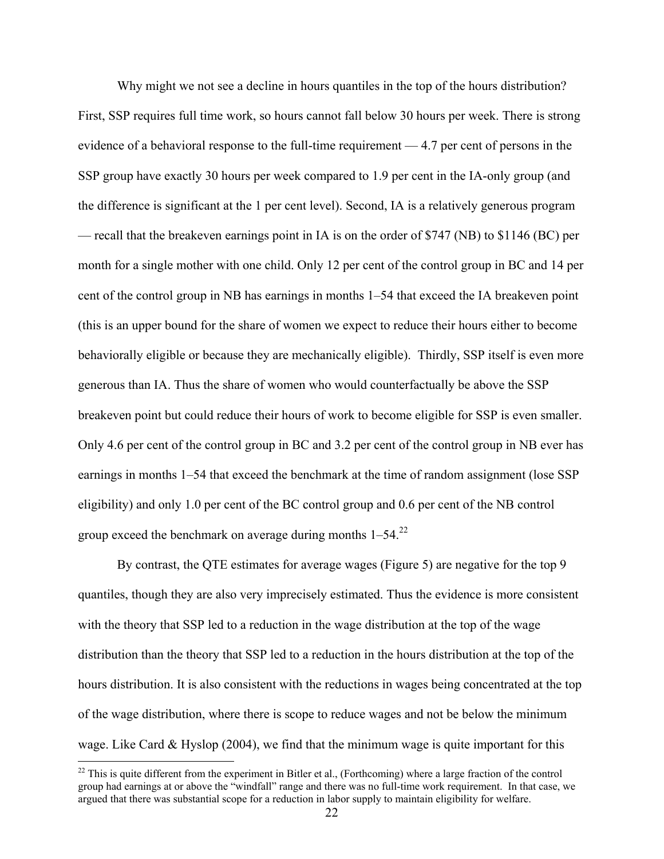Why might we not see a decline in hours quantiles in the top of the hours distribution? First, SSP requires full time work, so hours cannot fall below 30 hours per week. There is strong evidence of a behavioral response to the full-time requirement — 4.7 per cent of persons in the SSP group have exactly 30 hours per week compared to 1.9 per cent in the IA-only group (and the difference is significant at the 1 per cent level). Second, IA is a relatively generous program — recall that the breakeven earnings point in IA is on the order of \$747 (NB) to \$1146 (BC) per month for a single mother with one child. Only 12 per cent of the control group in BC and 14 per cent of the control group in NB has earnings in months 1–54 that exceed the IA breakeven point (this is an upper bound for the share of women we expect to reduce their hours either to become behaviorally eligible or because they are mechanically eligible). Thirdly, SSP itself is even more generous than IA. Thus the share of women who would counterfactually be above the SSP breakeven point but could reduce their hours of work to become eligible for SSP is even smaller. Only 4.6 per cent of the control group in BC and 3.2 per cent of the control group in NB ever has earnings in months 1–54 that exceed the benchmark at the time of random assignment (lose SSP eligibility) and only 1.0 per cent of the BC control group and 0.6 per cent of the NB control group exceed the benchmark on average during months  $1-54$ .<sup>22</sup>

By contrast, the QTE estimates for average wages (Figure 5) are negative for the top 9 quantiles, though they are also very imprecisely estimated. Thus the evidence is more consistent with the theory that SSP led to a reduction in the wage distribution at the top of the wage distribution than the theory that SSP led to a reduction in the hours distribution at the top of the hours distribution. It is also consistent with the reductions in wages being concentrated at the top of the wage distribution, where there is scope to reduce wages and not be below the minimum wage. Like Card  $\&$  Hyslop (2004), we find that the minimum wage is quite important for this

 $22$  This is quite different from the experiment in Bitler et al., (Forthcoming) where a large fraction of the control group had earnings at or above the "windfall" range and there was no full-time work requirement. In that case, we argued that there was substantial scope for a reduction in labor supply to maintain eligibility for welfare.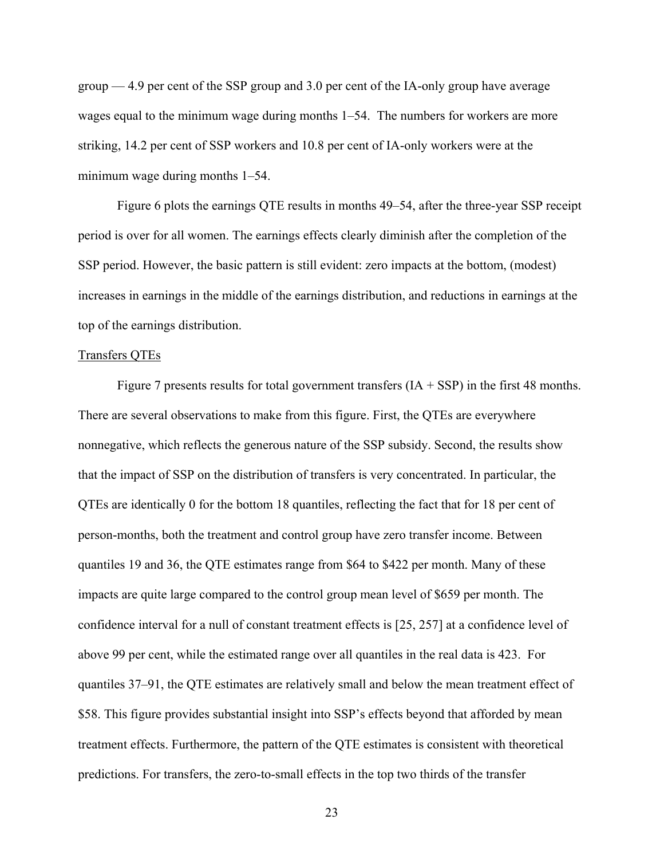group — 4.9 per cent of the SSP group and 3.0 per cent of the IA-only group have average wages equal to the minimum wage during months 1–54. The numbers for workers are more striking, 14.2 per cent of SSP workers and 10.8 per cent of IA-only workers were at the minimum wage during months 1–54.

Figure 6 plots the earnings QTE results in months 49–54, after the three-year SSP receipt period is over for all women. The earnings effects clearly diminish after the completion of the SSP period. However, the basic pattern is still evident: zero impacts at the bottom, (modest) increases in earnings in the middle of the earnings distribution, and reductions in earnings at the top of the earnings distribution.

## Transfers QTEs

Figure 7 presents results for total government transfers  $(IA + SSP)$  in the first 48 months. There are several observations to make from this figure. First, the QTEs are everywhere nonnegative, which reflects the generous nature of the SSP subsidy. Second, the results show that the impact of SSP on the distribution of transfers is very concentrated. In particular, the QTEs are identically 0 for the bottom 18 quantiles, reflecting the fact that for 18 per cent of person-months, both the treatment and control group have zero transfer income. Between quantiles 19 and 36, the QTE estimates range from \$64 to \$422 per month. Many of these impacts are quite large compared to the control group mean level of \$659 per month. The confidence interval for a null of constant treatment effects is [25, 257] at a confidence level of above 99 per cent, while the estimated range over all quantiles in the real data is 423. For quantiles 37–91, the QTE estimates are relatively small and below the mean treatment effect of \$58. This figure provides substantial insight into SSP's effects beyond that afforded by mean treatment effects. Furthermore, the pattern of the QTE estimates is consistent with theoretical predictions. For transfers, the zero-to-small effects in the top two thirds of the transfer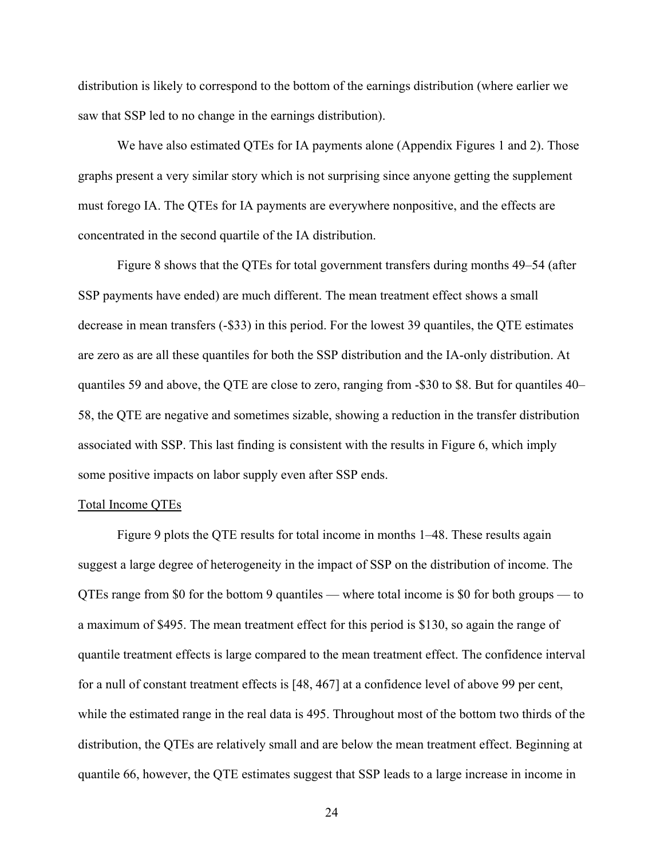distribution is likely to correspond to the bottom of the earnings distribution (where earlier we saw that SSP led to no change in the earnings distribution).

We have also estimated QTEs for IA payments alone (Appendix Figures 1 and 2). Those graphs present a very similar story which is not surprising since anyone getting the supplement must forego IA. The QTEs for IA payments are everywhere nonpositive, and the effects are concentrated in the second quartile of the IA distribution.

 Figure 8 shows that the QTEs for total government transfers during months 49–54 (after SSP payments have ended) are much different. The mean treatment effect shows a small decrease in mean transfers (-\$33) in this period. For the lowest 39 quantiles, the QTE estimates are zero as are all these quantiles for both the SSP distribution and the IA-only distribution. At quantiles 59 and above, the QTE are close to zero, ranging from -\$30 to \$8. But for quantiles 40– 58, the QTE are negative and sometimes sizable, showing a reduction in the transfer distribution associated with SSP. This last finding is consistent with the results in Figure 6, which imply some positive impacts on labor supply even after SSP ends.

## Total Income QTEs

 Figure 9 plots the QTE results for total income in months 1–48. These results again suggest a large degree of heterogeneity in the impact of SSP on the distribution of income. The QTEs range from \$0 for the bottom 9 quantiles — where total income is \$0 for both groups — to a maximum of \$495. The mean treatment effect for this period is \$130, so again the range of quantile treatment effects is large compared to the mean treatment effect. The confidence interval for a null of constant treatment effects is [48, 467] at a confidence level of above 99 per cent, while the estimated range in the real data is 495. Throughout most of the bottom two thirds of the distribution, the QTEs are relatively small and are below the mean treatment effect. Beginning at quantile 66, however, the QTE estimates suggest that SSP leads to a large increase in income in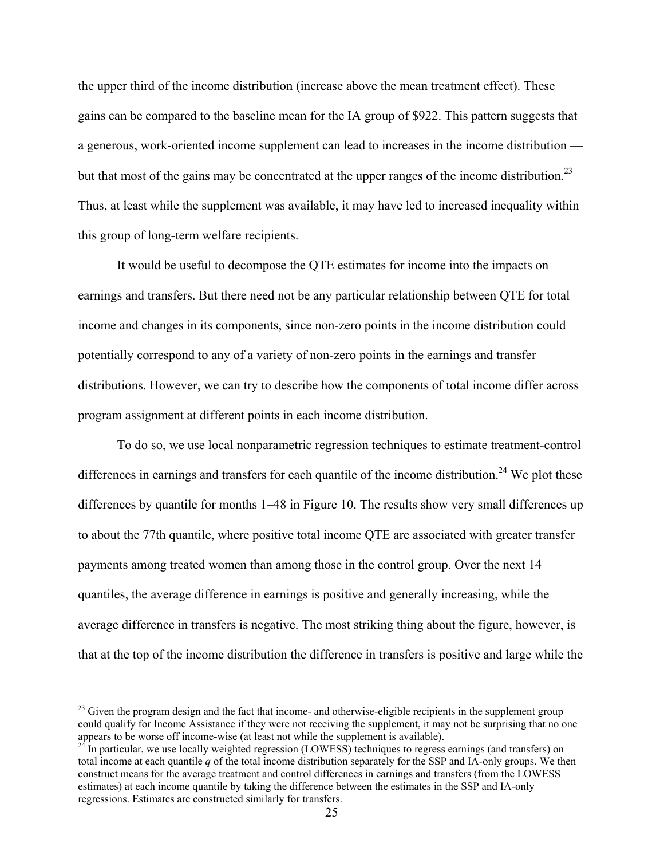the upper third of the income distribution (increase above the mean treatment effect). These gains can be compared to the baseline mean for the IA group of \$922. This pattern suggests that a generous, work-oriented income supplement can lead to increases in the income distribution but that most of the gains may be concentrated at the upper ranges of the income distribution.<sup>23</sup> Thus, at least while the supplement was available, it may have led to increased inequality within this group of long-term welfare recipients.

 It would be useful to decompose the QTE estimates for income into the impacts on earnings and transfers. But there need not be any particular relationship between QTE for total income and changes in its components, since non-zero points in the income distribution could potentially correspond to any of a variety of non-zero points in the earnings and transfer distributions. However, we can try to describe how the components of total income differ across program assignment at different points in each income distribution.

To do so, we use local nonparametric regression techniques to estimate treatment-control differences in earnings and transfers for each quantile of the income distribution.<sup>24</sup> We plot these differences by quantile for months 1–48 in Figure 10. The results show very small differences up to about the 77th quantile, where positive total income QTE are associated with greater transfer payments among treated women than among those in the control group. Over the next 14 quantiles, the average difference in earnings is positive and generally increasing, while the average difference in transfers is negative. The most striking thing about the figure, however, is that at the top of the income distribution the difference in transfers is positive and large while the

<sup>&</sup>lt;sup>23</sup> Given the program design and the fact that income- and otherwise-eligible recipients in the supplement group could qualify for Income Assistance if they were not receiving the supplement, it may not be surprising that no one appears to be worse off income-wise (at least not while the supplement is available).<br><sup>24</sup> In particular, we use locally weighted regression (LOWESS) techniques to regress earnings (and transfers) on

total income at each quantile *q* of the total income distribution separately for the SSP and IA-only groups. We then construct means for the average treatment and control differences in earnings and transfers (from the LOWESS estimates) at each income quantile by taking the difference between the estimates in the SSP and IA-only regressions. Estimates are constructed similarly for transfers.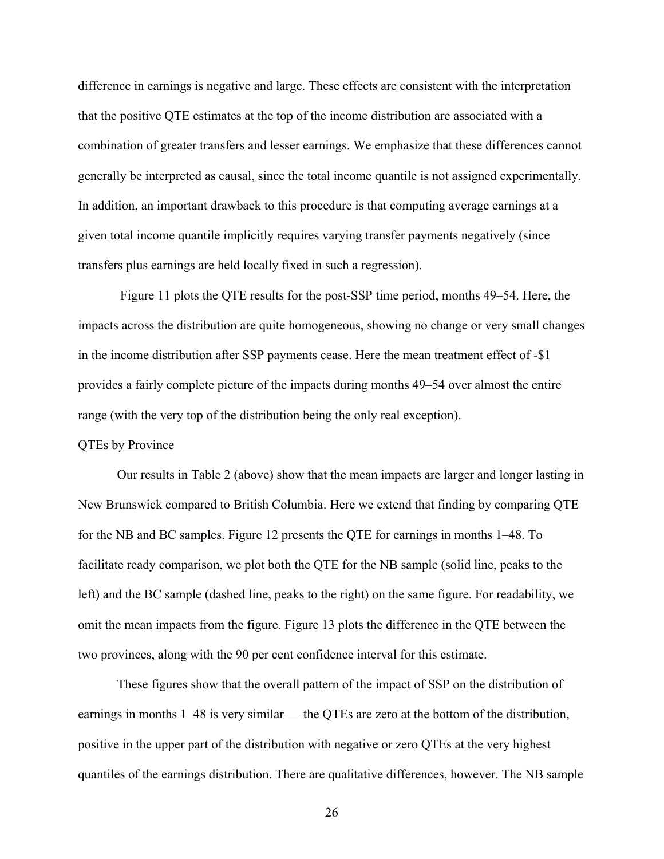difference in earnings is negative and large. These effects are consistent with the interpretation that the positive QTE estimates at the top of the income distribution are associated with a combination of greater transfers and lesser earnings. We emphasize that these differences cannot generally be interpreted as causal, since the total income quantile is not assigned experimentally. In addition, an important drawback to this procedure is that computing average earnings at a given total income quantile implicitly requires varying transfer payments negatively (since transfers plus earnings are held locally fixed in such a regression).

 Figure 11 plots the QTE results for the post-SSP time period, months 49–54. Here, the impacts across the distribution are quite homogeneous, showing no change or very small changes in the income distribution after SSP payments cease. Here the mean treatment effect of -\$1 provides a fairly complete picture of the impacts during months 49–54 over almost the entire range (with the very top of the distribution being the only real exception).

## QTEs by Province

 Our results in Table 2 (above) show that the mean impacts are larger and longer lasting in New Brunswick compared to British Columbia. Here we extend that finding by comparing QTE for the NB and BC samples. Figure 12 presents the QTE for earnings in months 1–48. To facilitate ready comparison, we plot both the QTE for the NB sample (solid line, peaks to the left) and the BC sample (dashed line, peaks to the right) on the same figure. For readability, we omit the mean impacts from the figure. Figure 13 plots the difference in the QTE between the two provinces, along with the 90 per cent confidence interval for this estimate.

 These figures show that the overall pattern of the impact of SSP on the distribution of earnings in months 1–48 is very similar — the QTEs are zero at the bottom of the distribution, positive in the upper part of the distribution with negative or zero QTEs at the very highest quantiles of the earnings distribution. There are qualitative differences, however. The NB sample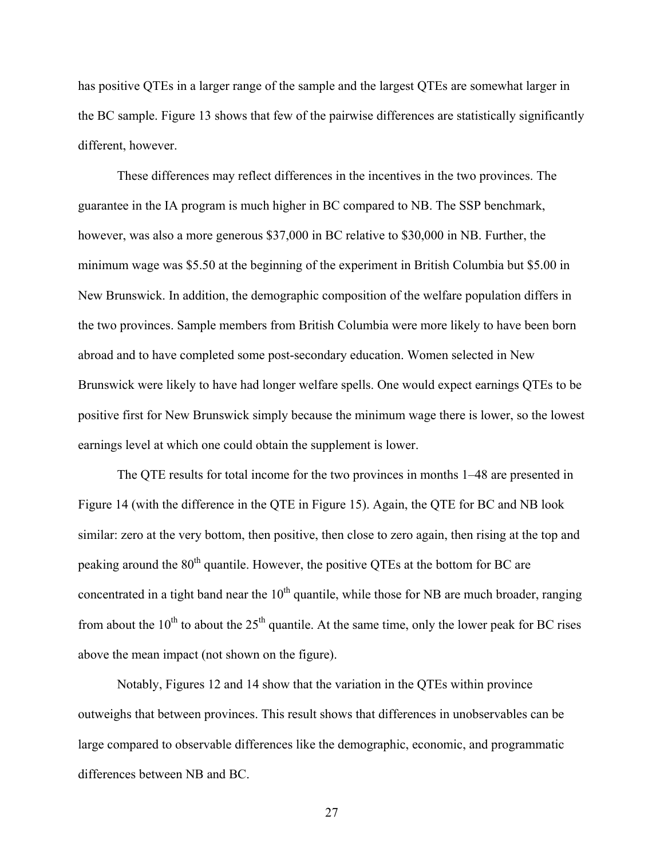has positive QTEs in a larger range of the sample and the largest QTEs are somewhat larger in the BC sample. Figure 13 shows that few of the pairwise differences are statistically significantly different, however.

These differences may reflect differences in the incentives in the two provinces. The guarantee in the IA program is much higher in BC compared to NB. The SSP benchmark, however, was also a more generous \$37,000 in BC relative to \$30,000 in NB. Further, the minimum wage was \$5.50 at the beginning of the experiment in British Columbia but \$5.00 in New Brunswick. In addition, the demographic composition of the welfare population differs in the two provinces. Sample members from British Columbia were more likely to have been born abroad and to have completed some post-secondary education. Women selected in New Brunswick were likely to have had longer welfare spells. One would expect earnings QTEs to be positive first for New Brunswick simply because the minimum wage there is lower, so the lowest earnings level at which one could obtain the supplement is lower.

The QTE results for total income for the two provinces in months 1–48 are presented in Figure 14 (with the difference in the QTE in Figure 15). Again, the QTE for BC and NB look similar: zero at the very bottom, then positive, then close to zero again, then rising at the top and peaking around the 80<sup>th</sup> quantile. However, the positive QTEs at the bottom for BC are concentrated in a tight band near the  $10<sup>th</sup>$  quantile, while those for NB are much broader, ranging from about the  $10^{th}$  to about the  $25^{th}$  quantile. At the same time, only the lower peak for BC rises above the mean impact (not shown on the figure).

Notably, Figures 12 and 14 show that the variation in the QTEs within province outweighs that between provinces. This result shows that differences in unobservables can be large compared to observable differences like the demographic, economic, and programmatic differences between NB and BC.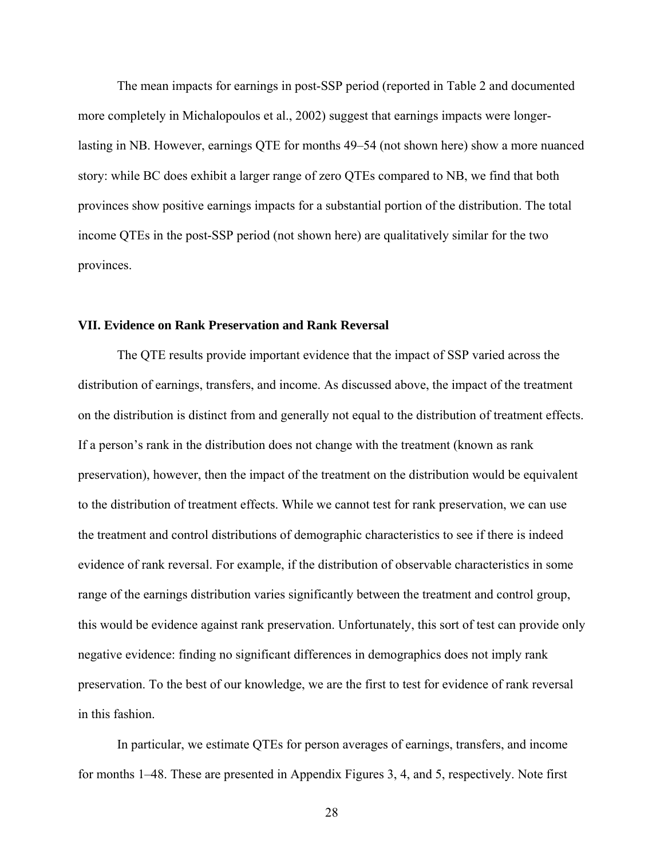The mean impacts for earnings in post-SSP period (reported in Table 2 and documented more completely in Michalopoulos et al., 2002) suggest that earnings impacts were longerlasting in NB. However, earnings QTE for months 49–54 (not shown here) show a more nuanced story: while BC does exhibit a larger range of zero QTEs compared to NB, we find that both provinces show positive earnings impacts for a substantial portion of the distribution. The total income QTEs in the post-SSP period (not shown here) are qualitatively similar for the two provinces.

## **VII. Evidence on Rank Preservation and Rank Reversal**

 The QTE results provide important evidence that the impact of SSP varied across the distribution of earnings, transfers, and income. As discussed above, the impact of the treatment on the distribution is distinct from and generally not equal to the distribution of treatment effects. If a person's rank in the distribution does not change with the treatment (known as rank preservation), however, then the impact of the treatment on the distribution would be equivalent to the distribution of treatment effects. While we cannot test for rank preservation, we can use the treatment and control distributions of demographic characteristics to see if there is indeed evidence of rank reversal. For example, if the distribution of observable characteristics in some range of the earnings distribution varies significantly between the treatment and control group, this would be evidence against rank preservation. Unfortunately, this sort of test can provide only negative evidence: finding no significant differences in demographics does not imply rank preservation. To the best of our knowledge, we are the first to test for evidence of rank reversal in this fashion.

In particular, we estimate QTEs for person averages of earnings, transfers, and income for months 1–48. These are presented in Appendix Figures 3, 4, and 5, respectively. Note first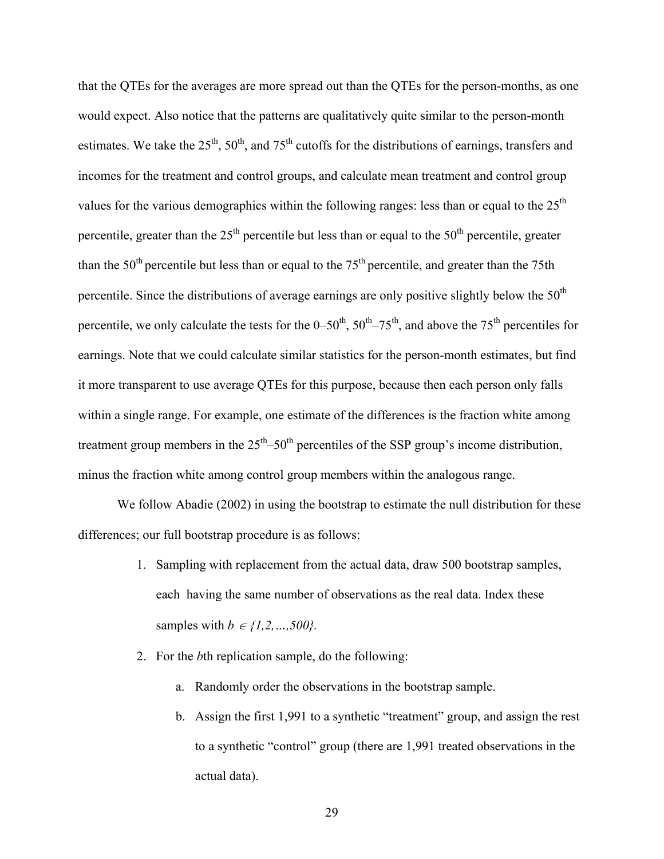that the QTEs for the averages are more spread out than the QTEs for the person-months, as one would expect. Also notice that the patterns are qualitatively quite similar to the person-month estimates. We take the  $25<sup>th</sup>$ ,  $50<sup>th</sup>$ , and  $75<sup>th</sup>$  cutoffs for the distributions of earnings, transfers and incomes for the treatment and control groups, and calculate mean treatment and control group values for the various demographics within the following ranges: less than or equal to the  $25<sup>th</sup>$ percentile, greater than the  $25<sup>th</sup>$  percentile but less than or equal to the  $50<sup>th</sup>$  percentile, greater than the  $50<sup>th</sup>$  percentile but less than or equal to the  $75<sup>th</sup>$  percentile, and greater than the 75th percentile. Since the distributions of average earnings are only positive slightly below the  $50<sup>th</sup>$ percentile, we only calculate the tests for the  $0-50^{th}$ ,  $50^{th}$ –75<sup>th</sup>, and above the 75<sup>th</sup> percentiles for earnings. Note that we could calculate similar statistics for the person-month estimates, but find it more transparent to use average QTEs for this purpose, because then each person only falls within a single range. For example, one estimate of the differences is the fraction white among treatment group members in the  $25<sup>th</sup> - 50<sup>th</sup>$  percentiles of the SSP group's income distribution, minus the fraction white among control group members within the analogous range.

We follow Abadie (2002) in using the bootstrap to estimate the null distribution for these differences; our full bootstrap procedure is as follows:

- 1. Sampling with replacement from the actual data, draw 500 bootstrap samples, each having the same number of observations as the real data. Index these samples with  $b \in \{1, 2, ..., 500\}$ .
- 2. For the *b*th replication sample, do the following:
	- a. Randomly order the observations in the bootstrap sample.
	- b. Assign the first 1,991 to a synthetic "treatment" group, and assign the rest to a synthetic "control" group (there are 1,991 treated observations in the actual data).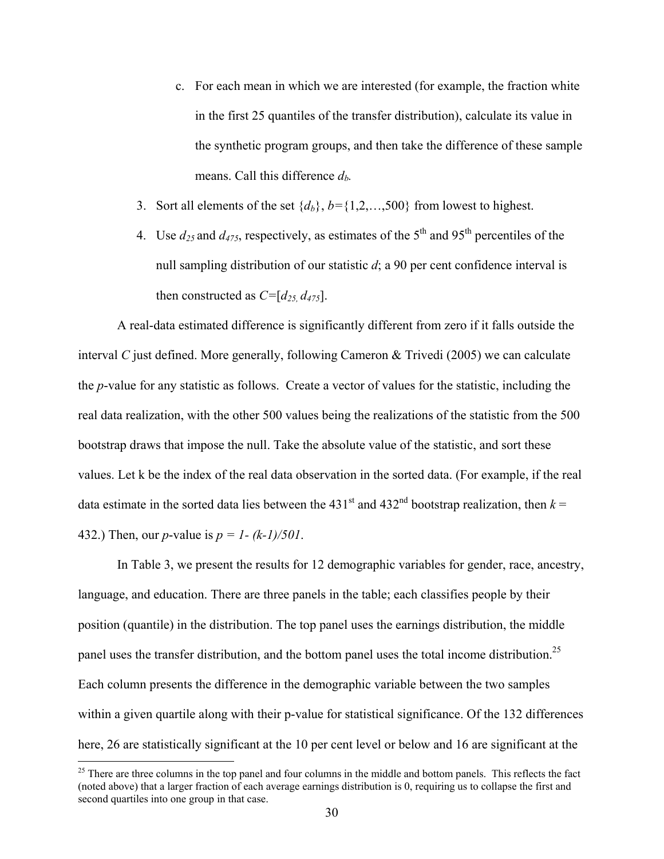- c. For each mean in which we are interested (for example, the fraction white in the first 25 quantiles of the transfer distribution), calculate its value in the synthetic program groups, and then take the difference of these sample means. Call this difference  $d_h$ .
- 3. Sort all elements of the set  $\{d_b\}$ ,  $b = \{1, 2, \ldots, 500\}$  from lowest to highest.
- 4. Use  $d_{25}$  and  $d_{475}$ , respectively, as estimates of the 5<sup>th</sup> and 95<sup>th</sup> percentiles of the null sampling distribution of our statistic *d*; a 90 per cent confidence interval is then constructed as  $C=[d_{25}, d_{475}]$ .

A real-data estimated difference is significantly different from zero if it falls outside the interval *C* just defined. More generally, following Cameron & Trivedi (2005) we can calculate the *p*-value for any statistic as follows. Create a vector of values for the statistic, including the real data realization, with the other 500 values being the realizations of the statistic from the 500 bootstrap draws that impose the null. Take the absolute value of the statistic, and sort these values. Let k be the index of the real data observation in the sorted data. (For example, if the real data estimate in the sorted data lies between the  $431<sup>st</sup>$  and  $432<sup>nd</sup>$  bootstrap realization, then  $k =$ 432.) Then, our *p*-value is *p = 1- (k-1)/501*.

 In Table 3, we present the results for 12 demographic variables for gender, race, ancestry, language, and education. There are three panels in the table; each classifies people by their position (quantile) in the distribution. The top panel uses the earnings distribution, the middle panel uses the transfer distribution, and the bottom panel uses the total income distribution.<sup>25</sup> Each column presents the difference in the demographic variable between the two samples within a given quartile along with their p-value for statistical significance. Of the 132 differences here, 26 are statistically significant at the 10 per cent level or below and 16 are significant at the

 $25$  There are three columns in the top panel and four columns in the middle and bottom panels. This reflects the fact (noted above) that a larger fraction of each average earnings distribution is 0, requiring us to collapse the first and second quartiles into one group in that case.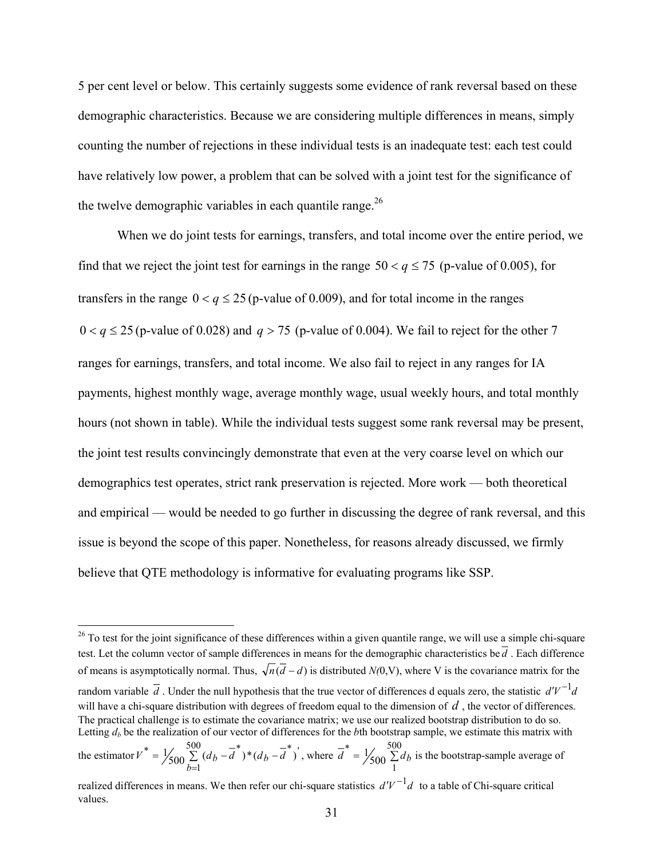5 per cent level or below. This certainly suggests some evidence of rank reversal based on these demographic characteristics. Because we are considering multiple differences in means, simply counting the number of rejections in these individual tests is an inadequate test: each test could have relatively low power, a problem that can be solved with a joint test for the significance of the twelve demographic variables in each quantile range.<sup>26</sup>

When we do joint tests for earnings, transfers, and total income over the entire period, we find that we reject the joint test for earnings in the range  $50 < q \le 75$  (p-value of 0.005), for transfers in the range  $0 < q \le 25$  (p-value of 0.009), and for total income in the ranges  $0 < q \le 25$  (p-value of 0.028) and  $q > 75$  (p-value of 0.004). We fail to reject for the other 7 ranges for earnings, transfers, and total income. We also fail to reject in any ranges for IA payments, highest monthly wage, average monthly wage, usual weekly hours, and total monthly hours (not shown in table). While the individual tests suggest some rank reversal may be present, the joint test results convincingly demonstrate that even at the very coarse level on which our demographics test operates, strict rank preservation is rejected. More work — both theoretical and empirical — would be needed to go further in discussing the degree of rank reversal, and this issue is beyond the scope of this paper. Nonetheless, for reasons already discussed, we firmly believe that QTE methodology is informative for evaluating programs like SSP.

 $26$  To test for the joint significance of these differences within a given quantile range, we will use a simple chi-square test. Let the column vector of sample differences in means for the demographic characteristics be  $\overline{d}$ . Each difference of means is asymptotically normal. Thus,  $\sqrt{n}(\overline{d} - d)$  is distributed  $N(0, V)$ , where V is the covariance matrix for the random variable  $\overline{d}$ . Under the null hypothesis that the true vector of differences d equals zero, the statistic  $d'V^{-1}d$ will have a chi-square distribution with degrees of freedom equal to the dimension of *d*, the vector of differences. The practical challenge is to estimate the covariance matrix; we use our realized bootstrap distribution to do so. Letting  $d_b$  be the realization of our vector of differences for the *b*th bootstrap sample, we estimate this matrix with the estimator  $V^* = \frac{500}{\sqrt{2}} \left( \frac{d_b - \overline{d}}{g} \right)^* \left( \frac{d_b - \overline{d}}{g} \right)^*$ 500 \*

 $V^* = \frac{1}{500} \sum_{b=1}^{500} (d_b - \overline{d}^*)^* (d_b - \overline{d}^*)$ *b*  $= \frac{1}{600} \sum (d_b - d)^* (d_b -$ = , where  $d = \frac{1}{600} \sum$ 1  $\overline{d}^* = \frac{1}{500} \sum_{i=1}^{50} d_i$  is the bootstrap-sample average of

realized differences in means. We then refer our chi-square statistics  $d'V^{-1}d$  to a table of Chi-square critical values.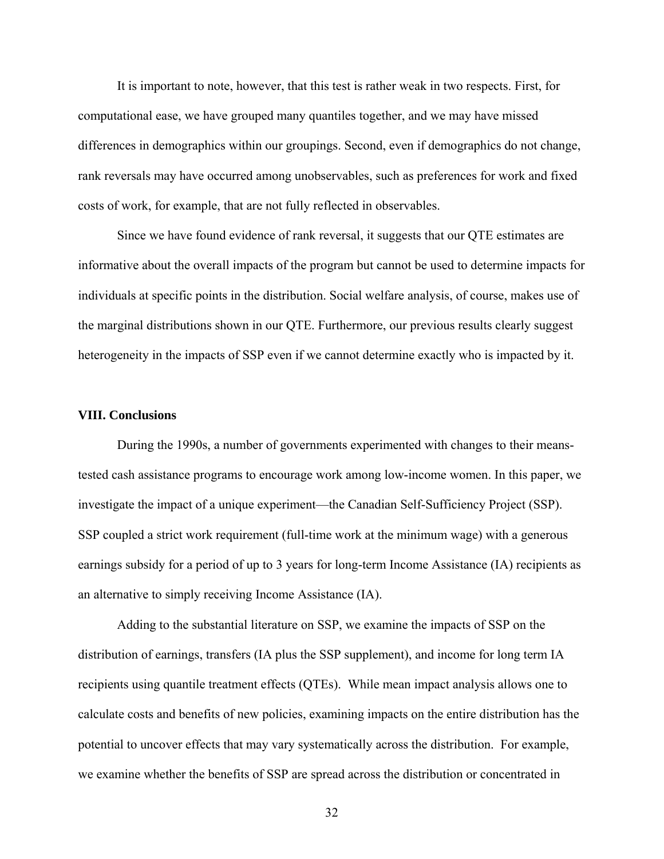It is important to note, however, that this test is rather weak in two respects. First, for computational ease, we have grouped many quantiles together, and we may have missed differences in demographics within our groupings. Second, even if demographics do not change, rank reversals may have occurred among unobservables, such as preferences for work and fixed costs of work, for example, that are not fully reflected in observables.

Since we have found evidence of rank reversal, it suggests that our QTE estimates are informative about the overall impacts of the program but cannot be used to determine impacts for individuals at specific points in the distribution. Social welfare analysis, of course, makes use of the marginal distributions shown in our QTE. Furthermore, our previous results clearly suggest heterogeneity in the impacts of SSP even if we cannot determine exactly who is impacted by it.

#### **VIII. Conclusions**

During the 1990s, a number of governments experimented with changes to their meanstested cash assistance programs to encourage work among low-income women. In this paper, we investigate the impact of a unique experiment—the Canadian Self-Sufficiency Project (SSP). SSP coupled a strict work requirement (full-time work at the minimum wage) with a generous earnings subsidy for a period of up to 3 years for long-term Income Assistance (IA) recipients as an alternative to simply receiving Income Assistance (IA).

Adding to the substantial literature on SSP, we examine the impacts of SSP on the distribution of earnings, transfers (IA plus the SSP supplement), and income for long term IA recipients using quantile treatment effects (QTEs). While mean impact analysis allows one to calculate costs and benefits of new policies, examining impacts on the entire distribution has the potential to uncover effects that may vary systematically across the distribution. For example, we examine whether the benefits of SSP are spread across the distribution or concentrated in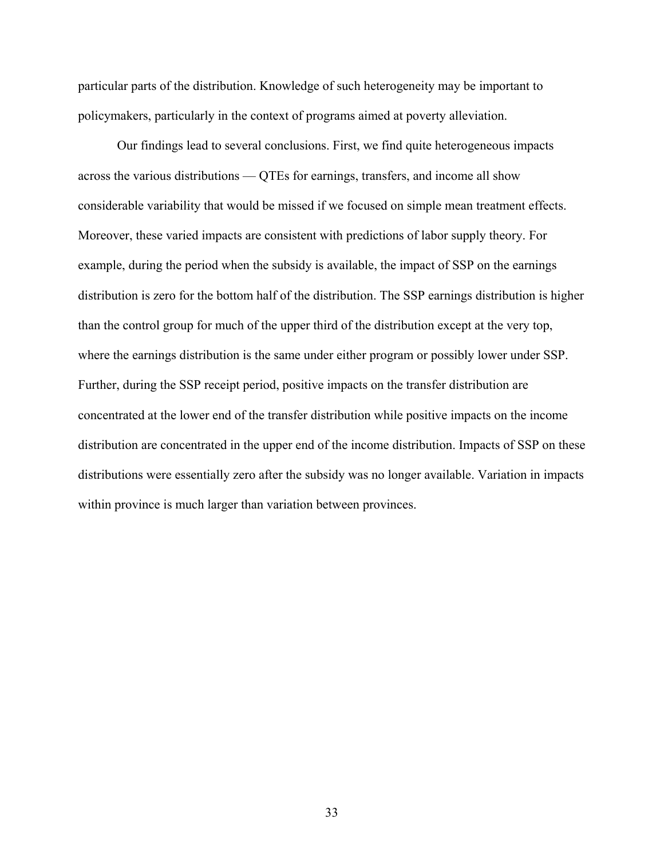particular parts of the distribution. Knowledge of such heterogeneity may be important to policymakers, particularly in the context of programs aimed at poverty alleviation.

Our findings lead to several conclusions. First, we find quite heterogeneous impacts across the various distributions — QTEs for earnings, transfers, and income all show considerable variability that would be missed if we focused on simple mean treatment effects. Moreover, these varied impacts are consistent with predictions of labor supply theory. For example, during the period when the subsidy is available, the impact of SSP on the earnings distribution is zero for the bottom half of the distribution. The SSP earnings distribution is higher than the control group for much of the upper third of the distribution except at the very top, where the earnings distribution is the same under either program or possibly lower under SSP. Further, during the SSP receipt period, positive impacts on the transfer distribution are concentrated at the lower end of the transfer distribution while positive impacts on the income distribution are concentrated in the upper end of the income distribution. Impacts of SSP on these distributions were essentially zero after the subsidy was no longer available. Variation in impacts within province is much larger than variation between provinces.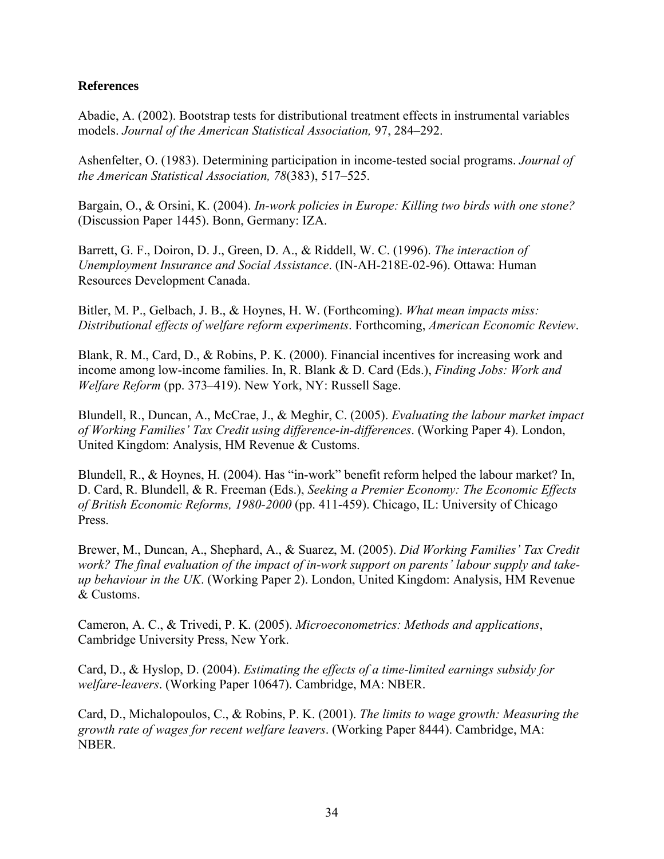## **References**

Abadie, A. (2002). Bootstrap tests for distributional treatment effects in instrumental variables models. *Journal of the American Statistical Association,* 97, 284–292.

Ashenfelter, O. (1983). Determining participation in income-tested social programs. *Journal of the American Statistical Association, 78*(383), 517–525.

Bargain, O., & Orsini, K. (2004). *In-work policies in Europe: Killing two birds with one stone?* (Discussion Paper 1445). Bonn, Germany: IZA.

Barrett, G. F., Doiron, D. J., Green, D. A., & Riddell, W. C. (1996). *The interaction of Unemployment Insurance and Social Assistance*. (IN-AH-218E-02-96). Ottawa: Human Resources Development Canada.

Bitler, M. P., Gelbach, J. B., & Hoynes, H. W. (Forthcoming). *What mean impacts miss: Distributional effects of welfare reform experiments*. Forthcoming, *American Economic Review*.

Blank, R. M., Card, D., & Robins, P. K. (2000). Financial incentives for increasing work and income among low-income families. In, R. Blank & D. Card (Eds.), *Finding Jobs: Work and Welfare Reform* (pp. 373–419). New York, NY: Russell Sage.

Blundell, R., Duncan, A., McCrae, J., & Meghir, C. (2005). *Evaluating the labour market impact of Working Families' Tax Credit using difference-in-differences*. (Working Paper 4). London, United Kingdom: Analysis, HM Revenue & Customs.

Blundell, R., & Hoynes, H. (2004). Has "in-work" benefit reform helped the labour market? In, D. Card, R. Blundell, & R. Freeman (Eds.), *Seeking a Premier Economy: The Economic Effects of British Economic Reforms, 1980-2000* (pp. 411-459). Chicago, IL: University of Chicago Press.

Brewer, M., Duncan, A., Shephard, A., & Suarez, M. (2005). *Did Working Families' Tax Credit work? The final evaluation of the impact of in-work support on parents' labour supply and takeup behaviour in the UK*. (Working Paper 2). London, United Kingdom: Analysis, HM Revenue & Customs.

Cameron, A. C., & Trivedi, P. K. (2005). *Microeconometrics: Methods and applications*, Cambridge University Press, New York.

Card, D., & Hyslop, D. (2004). *Estimating the effects of a time-limited earnings subsidy for welfare-leavers*. (Working Paper 10647). Cambridge, MA: NBER.

Card, D., Michalopoulos, C., & Robins, P. K. (2001). *The limits to wage growth: Measuring the growth rate of wages for recent welfare leavers*. (Working Paper 8444). Cambridge, MA: NBER.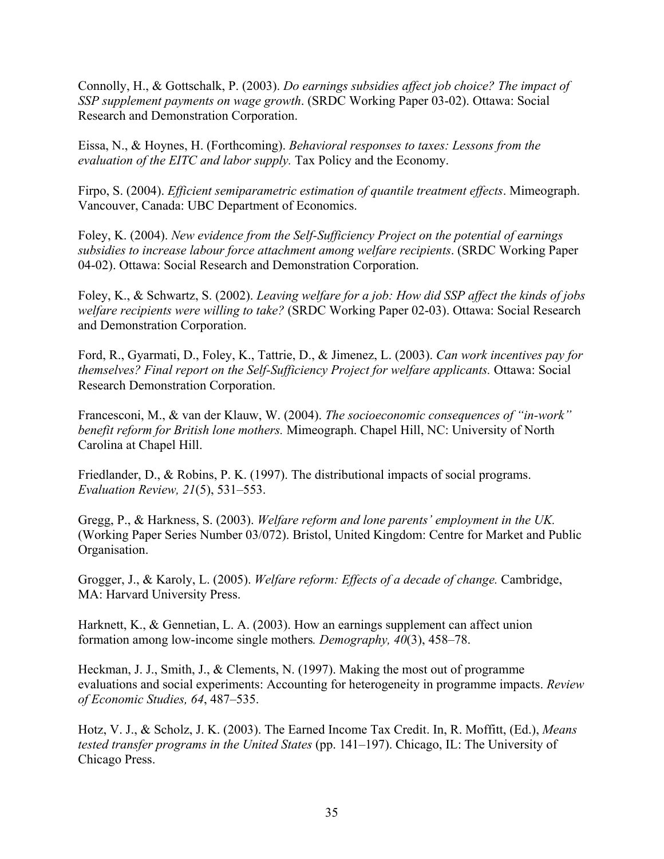Connolly, H., & Gottschalk, P. (2003). *Do earnings subsidies affect job choice? The impact of SSP supplement payments on wage growth*. (SRDC Working Paper 03-02). Ottawa: Social Research and Demonstration Corporation.

Eissa, N., & Hoynes, H. (Forthcoming). *Behavioral responses to taxes: Lessons from the evaluation of the EITC and labor supply.* Tax Policy and the Economy.

Firpo, S. (2004). *Efficient semiparametric estimation of quantile treatment effects*. Mimeograph. Vancouver, Canada: UBC Department of Economics.

Foley, K. (2004). *New evidence from the Self-Sufficiency Project on the potential of earnings subsidies to increase labour force attachment among welfare recipients*. (SRDC Working Paper 04-02). Ottawa: Social Research and Demonstration Corporation.

Foley, K., & Schwartz, S. (2002). *Leaving welfare for a job: How did SSP affect the kinds of jobs welfare recipients were willing to take?* (SRDC Working Paper 02-03). Ottawa: Social Research and Demonstration Corporation.

Ford, R., Gyarmati, D., Foley, K., Tattrie, D., & Jimenez, L. (2003). *Can work incentives pay for themselves? Final report on the Self-Sufficiency Project for welfare applicants.* Ottawa: Social Research Demonstration Corporation.

Francesconi, M., & van der Klauw, W. (2004). *The socioeconomic consequences of "in-work" benefit reform for British lone mothers.* Mimeograph. Chapel Hill, NC: University of North Carolina at Chapel Hill.

Friedlander, D., & Robins, P. K. (1997). The distributional impacts of social programs. *Evaluation Review, 21*(5), 531–553.

Gregg, P., & Harkness, S. (2003). *Welfare reform and lone parents' employment in the UK.* (Working Paper Series Number 03/072). Bristol, United Kingdom: Centre for Market and Public Organisation.

Grogger, J., & Karoly, L. (2005). *Welfare reform: Effects of a decade of change.* Cambridge, MA: Harvard University Press.

Harknett, K., & Gennetian, L. A. (2003). How an earnings supplement can affect union formation among low-income single mothers*. Demography, 40*(3), 458–78.

Heckman, J. J., Smith, J., & Clements, N. (1997). Making the most out of programme evaluations and social experiments: Accounting for heterogeneity in programme impacts. *Review of Economic Studies, 64*, 487–535.

Hotz, V. J., & Scholz, J. K. (2003). The Earned Income Tax Credit. In, R. Moffitt, (Ed.), *Means tested transfer programs in the United States* (pp. 141–197). Chicago, IL: The University of Chicago Press.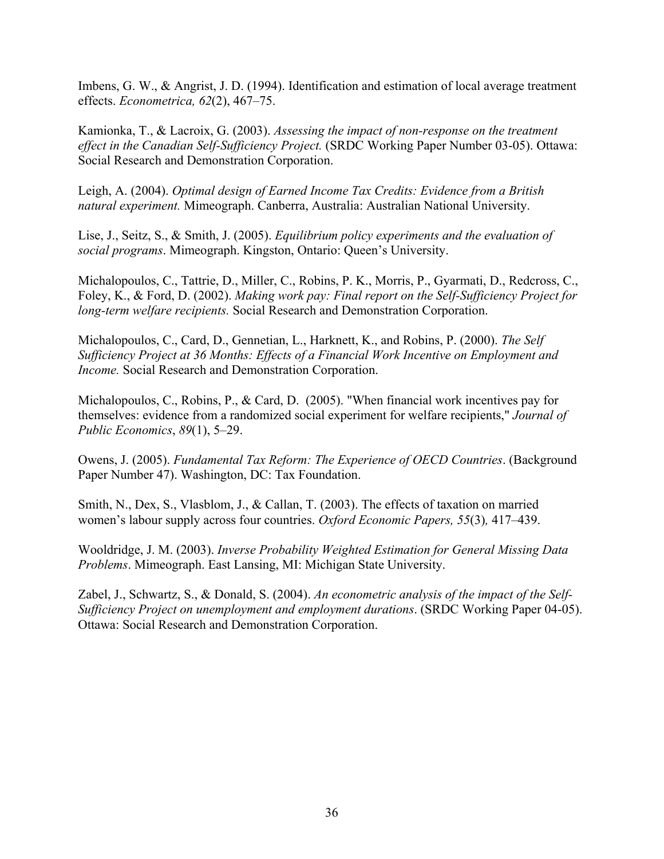Imbens, G. W., & Angrist, J. D. (1994). Identification and estimation of local average treatment effects. *Econometrica, 62*(2), 467–75.

Kamionka, T., & Lacroix, G. (2003). *Assessing the impact of non-response on the treatment effect in the Canadian Self-Sufficiency Project.* (SRDC Working Paper Number 03-05). Ottawa: Social Research and Demonstration Corporation.

Leigh, A. (2004). *Optimal design of Earned Income Tax Credits: Evidence from a British natural experiment.* Mimeograph. Canberra, Australia: Australian National University.

Lise, J., Seitz, S., & Smith, J. (2005). *Equilibrium policy experiments and the evaluation of social programs*. Mimeograph. Kingston, Ontario: Queen's University.

Michalopoulos, C., Tattrie, D., Miller, C., Robins, P. K., Morris, P., Gyarmati, D., Redcross, C., Foley, K., & Ford, D. (2002). *Making work pay: Final report on the Self-Sufficiency Project for long-term welfare recipients.* Social Research and Demonstration Corporation.

Michalopoulos, C., Card, D., Gennetian, L., Harknett, K., and Robins, P. (2000). *The Self Sufficiency Project at 36 Months: Effects of a Financial Work Incentive on Employment and Income.* Social Research and Demonstration Corporation.

Michalopoulos, C., Robins, P., & Card, D. (2005). "When financial work incentives pay for themselves: evidence from a randomized social experiment for welfare recipients," *Journal of Public Economics*, *89*(1), 5–29.

Owens, J. (2005). *Fundamental Tax Reform: The Experience of OECD Countries*. (Background Paper Number 47). Washington, DC: Tax Foundation.

Smith, N., Dex, S., Vlasblom, J., & Callan, T. (2003). The effects of taxation on married women's labour supply across four countries. *Oxford Economic Papers, 55*(3)*,* 417–439.

Wooldridge, J. M. (2003). *Inverse Probability Weighted Estimation for General Missing Data Problems*. Mimeograph. East Lansing, MI: Michigan State University.

Zabel, J., Schwartz, S., & Donald, S. (2004). *An econometric analysis of the impact of the Self-Sufficiency Project on unemployment and employment durations*. (SRDC Working Paper 04-05). Ottawa: Social Research and Demonstration Corporation.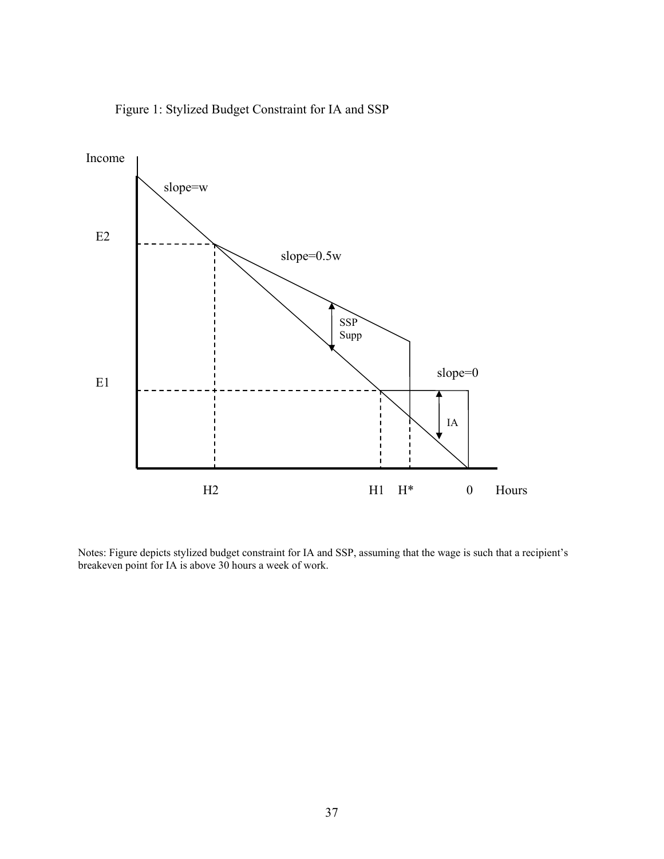

Figure 1: Stylized Budget Constraint for IA and SSP

Notes: Figure depicts stylized budget constraint for IA and SSP, assuming that the wage is such that a recipient's breakeven point for IA is above 30 hours a week of work.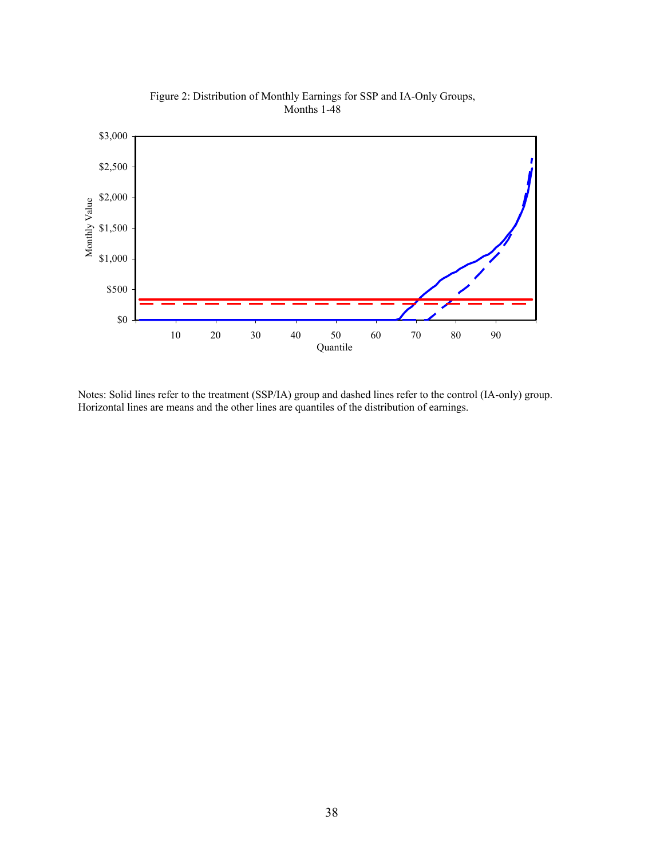

Figure 2: Distribution of Monthly Earnings for SSP and IA-Only Groups, Months 1-48

Notes: Solid lines refer to the treatment (SSP/IA) group and dashed lines refer to the control (IA-only) group. Horizontal lines are means and the other lines are quantiles of the distribution of earnings.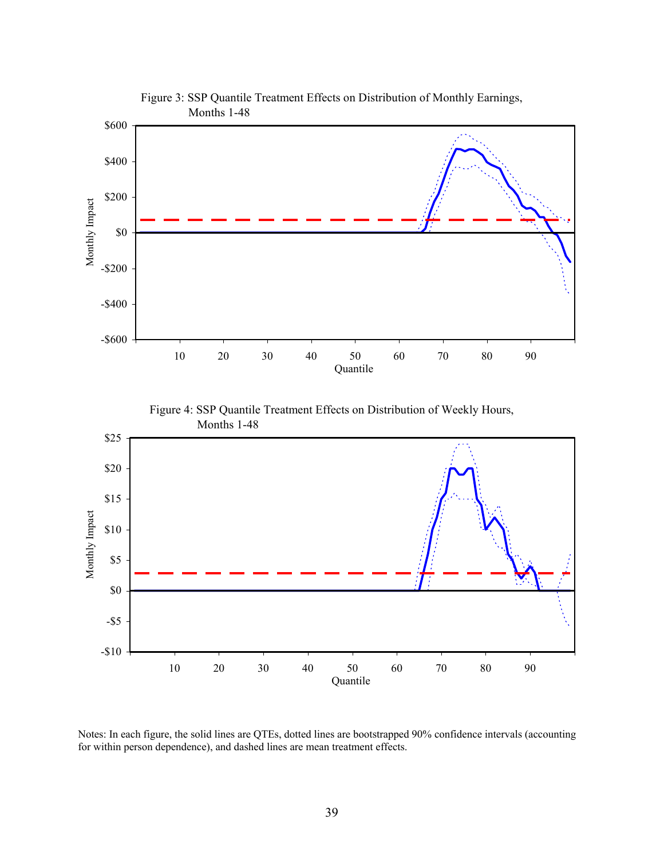

Notes: In each figure, the solid lines are QTEs, dotted lines are bootstrapped 90% confidence intervals (accounting for within person dependence), and dashed lines are mean treatment effects.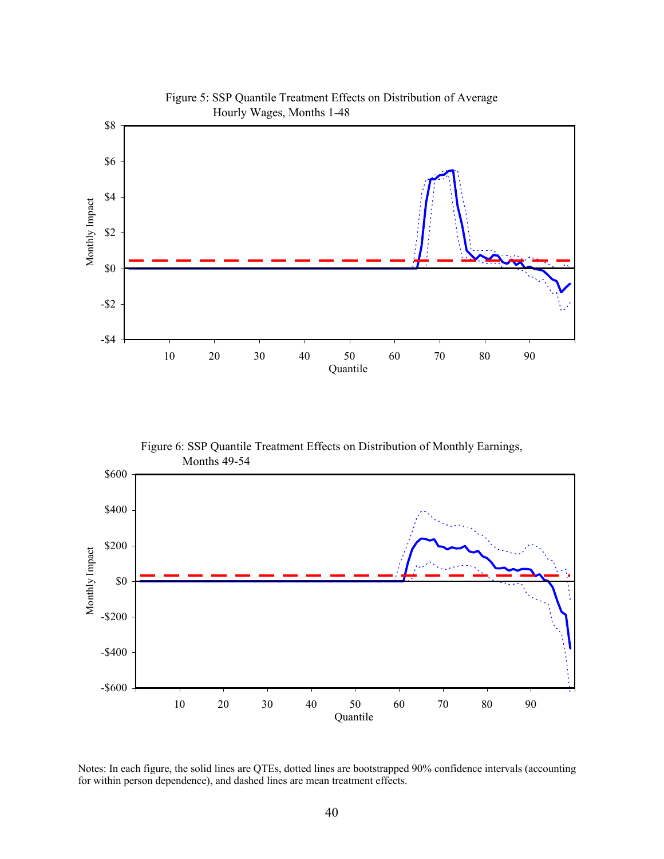

Figure 5: SSP Quantile Treatment Effects on Distribution of Average

Figure 6: SSP Quantile Treatment Effects on Distribution of Monthly Earnings, Months 49-54



Notes: In each figure, the solid lines are QTEs, dotted lines are bootstrapped 90% confidence intervals (accounting for within person dependence), and dashed lines are mean treatment effects.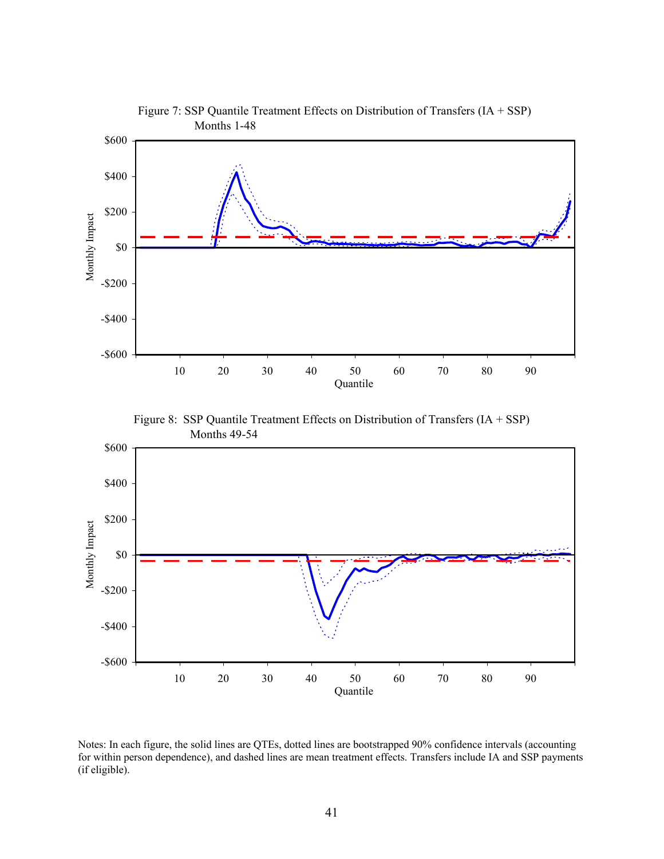

Figure 7: SSP Quantile Treatment Effects on Distribution of Transfers (IA + SSP)





Notes: In each figure, the solid lines are QTEs, dotted lines are bootstrapped 90% confidence intervals (accounting for within person dependence), and dashed lines are mean treatment effects. Transfers include IA and SSP payments (if eligible).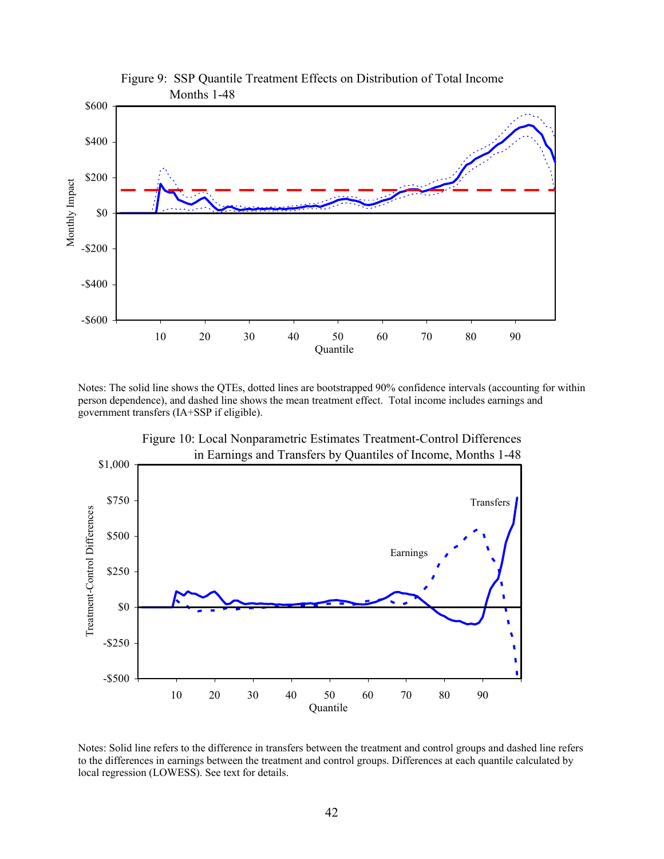

Notes: The solid line shows the QTEs, dotted lines are bootstrapped 90% confidence intervals (accounting for within person dependence), and dashed line shows the mean treatment effect. Total income includes earnings and government transfers (IA+SSP if eligible).



Figure 10: Local Nonparametric Estimates Treatment-Control Differences

Notes: Solid line refers to the difference in transfers between the treatment and control groups and dashed line refers to the differences in earnings between the treatment and control groups. Differences at each quantile calculated by local regression (LOWESS). See text for details.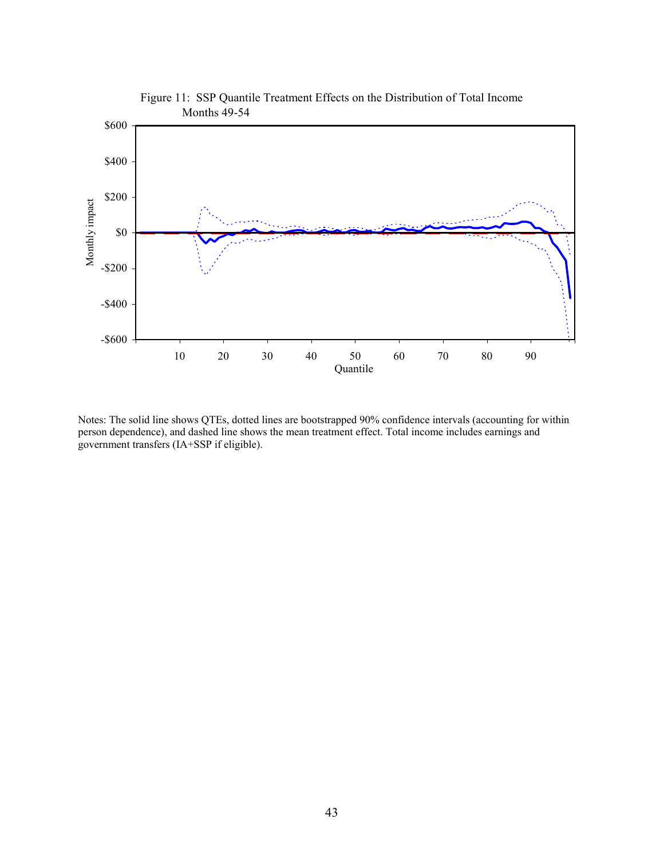

Notes: The solid line shows QTEs, dotted lines are bootstrapped 90% confidence intervals (accounting for within person dependence), and dashed line shows the mean treatment effect. Total income includes earnings and government transfers (IA+SSP if eligible).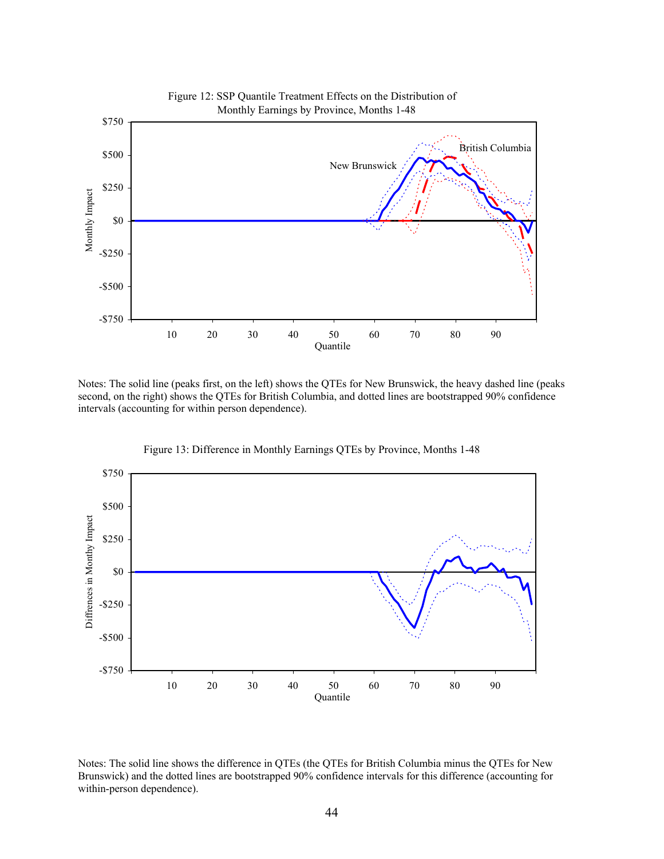

Notes: The solid line (peaks first, on the left) shows the QTEs for New Brunswick, the heavy dashed line (peaks second, on the right) shows the QTEs for British Columbia, and dotted lines are bootstrapped 90% confidence intervals (accounting for within person dependence).



Figure 13: Difference in Monthly Earnings QTEs by Province, Months 1-48

Notes: The solid line shows the difference in QTEs (the QTEs for British Columbia minus the QTEs for New Brunswick) and the dotted lines are bootstrapped 90% confidence intervals for this difference (accounting for within-person dependence).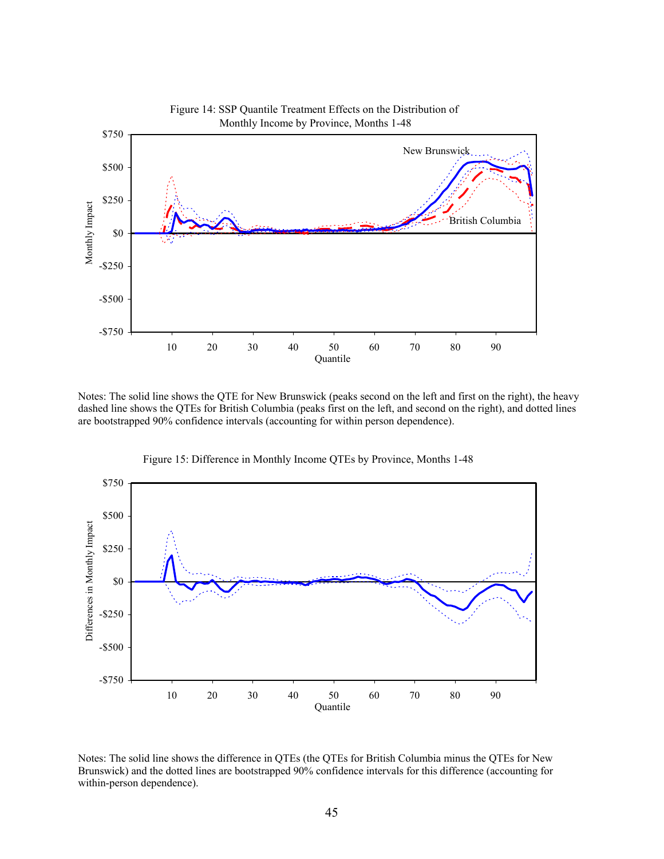

Notes: The solid line shows the QTE for New Brunswick (peaks second on the left and first on the right), the heavy dashed line shows the QTEs for British Columbia (peaks first on the left, and second on the right), and dotted lines are bootstrapped 90% confidence intervals (accounting for within person dependence).



Figure 15: Difference in Monthly Income QTEs by Province, Months 1-48

Notes: The solid line shows the difference in QTEs (the QTEs for British Columbia minus the QTEs for New Brunswick) and the dotted lines are bootstrapped 90% confidence intervals for this difference (accounting for within-person dependence).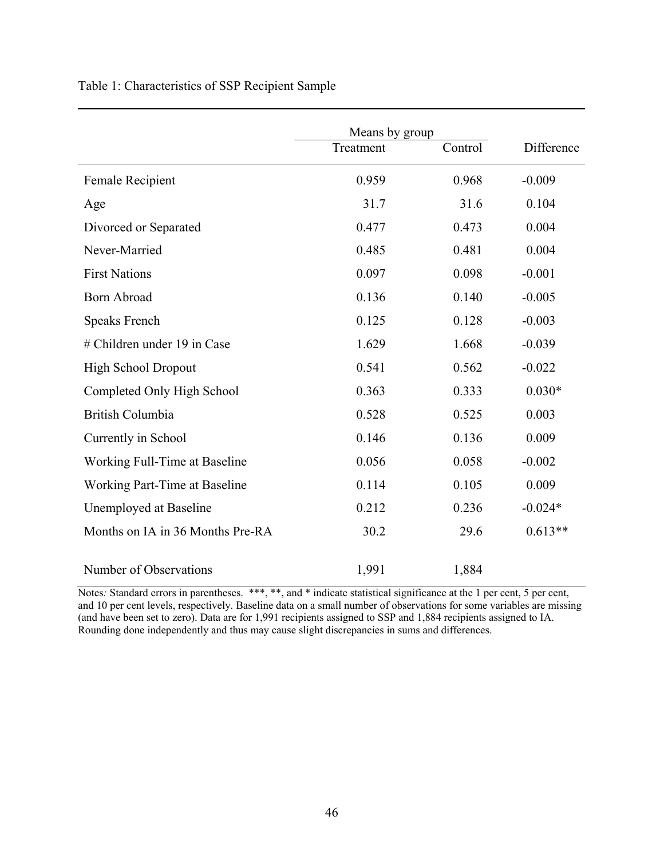# Table 1: Characteristics of SSP Recipient Sample

|                                  | Means by group |         |            |
|----------------------------------|----------------|---------|------------|
|                                  | Treatment      | Control | Difference |
| Female Recipient                 | 0.959          | 0.968   | $-0.009$   |
| Age                              | 31.7           | 31.6    | 0.104      |
| Divorced or Separated            | 0.477          | 0.473   | 0.004      |
| Never-Married                    | 0.485          | 0.481   | 0.004      |
| <b>First Nations</b>             | 0.097          | 0.098   | $-0.001$   |
| <b>Born Abroad</b>               | 0.136          | 0.140   | $-0.005$   |
| Speaks French                    | 0.125          | 0.128   | $-0.003$   |
| # Children under 19 in Case      | 1.629          | 1.668   | $-0.039$   |
| <b>High School Dropout</b>       | 0.541          | 0.562   | $-0.022$   |
| Completed Only High School       | 0.363          | 0.333   | $0.030*$   |
| <b>British Columbia</b>          | 0.528          | 0.525   | 0.003      |
| Currently in School              | 0.146          | 0.136   | 0.009      |
| Working Full-Time at Baseline    | 0.056          | 0.058   | $-0.002$   |
| Working Part-Time at Baseline    | 0.114          | 0.105   | 0.009      |
| Unemployed at Baseline           | 0.212          | 0.236   | $-0.024*$  |
| Months on IA in 36 Months Pre-RA | 30.2           | 29.6    | $0.613**$  |
|                                  |                |         |            |
| Number of Observations           | 1,991          | 1,884   |            |

Notes: Standard errors in parentheses. \*\*\*, \*\*, and \* indicate statistical significance at the 1 per cent, 5 per cent, and 10 per cent levels, respectively. Baseline data on a small number of observations for some variables are missing (and have been set to zero). Data are for 1,991 recipients assigned to SSP and 1,884 recipients assigned to IA. Rounding done independently and thus may cause slight discrepancies in sums and differences.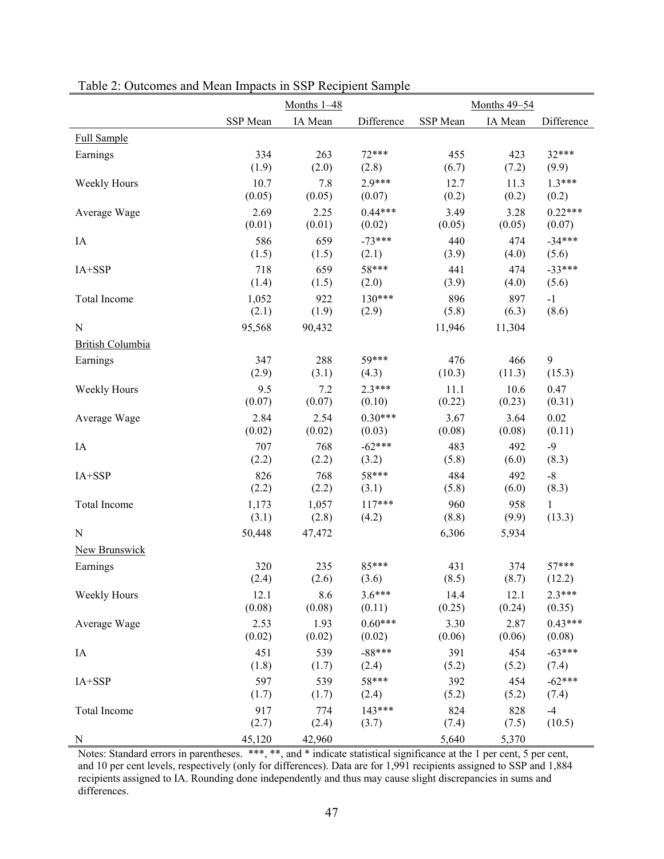|                         |          | Months $1-48$ |            | <b>Months 49-54</b> |         |              |  |
|-------------------------|----------|---------------|------------|---------------------|---------|--------------|--|
|                         | SSP Mean | IA Mean       | Difference | SSP Mean            | IA Mean | Difference   |  |
| <b>Full Sample</b>      |          |               |            |                     |         |              |  |
| Earnings                | 334      | 263           | $72***$    | 455                 | 423     | 32***        |  |
|                         | (1.9)    | (2.0)         | (2.8)      | (6.7)               | (7.2)   | (9.9)        |  |
| Weekly Hours            | 10.7     | 7.8           | $2.9***$   | 12.7                | 11.3    | $1.3***$     |  |
|                         | (0.05)   | (0.05)        | (0.07)     | (0.2)               | (0.2)   | (0.2)        |  |
| Average Wage            | 2.69     | 2.25          | $0.44***$  | 3.49                | 3.28    | $0.22***$    |  |
|                         | (0.01)   | (0.01)        | (0.02)     | (0.05)              | (0.05)  | (0.07)       |  |
| IA                      | 586      | 659           | $-73***$   | 440                 | 474     | $-34***$     |  |
|                         | (1.5)    | (1.5)         | (2.1)      | (3.9)               | (4.0)   | (5.6)        |  |
| IA+SSP                  | 718      | 659           | 58***      | 441                 | 474     | $-33***$     |  |
|                         | (1.4)    | (1.5)         | (2.0)      | (3.9)               | (4.0)   | (5.6)        |  |
| Total Income            | 1,052    | 922           | $130***$   | 896                 | 897     | $-1$         |  |
|                         | (2.1)    | (1.9)         | (2.9)      | (5.8)               | (6.3)   | (8.6)        |  |
| ${\bf N}$               | 95,568   | 90,432        |            | 11,946              | 11,304  |              |  |
| <b>British Columbia</b> |          |               |            |                     |         |              |  |
| Earnings                | 347      | 288           | 59***      | 476                 | 466     | 9            |  |
|                         | (2.9)    | (3.1)         | (4.3)      | (10.3)              | (11.3)  | (15.3)       |  |
| Weekly Hours            | 9.5      | 7.2           | $2.3***$   | 11.1                | 10.6    | 0.47         |  |
|                         | (0.07)   | (0.07)        | (0.10)     | (0.22)              | (0.23)  | (0.31)       |  |
| Average Wage            | 2.84     | 2.54          | $0.30***$  | 3.67                | 3.64    | 0.02         |  |
|                         | (0.02)   | (0.02)        | (0.03)     | (0.08)              | (0.08)  | (0.11)       |  |
| IA                      | 707      | 768           | $-62***$   | 483                 | 492     | $-9$         |  |
|                         | (2.2)    | (2.2)         | (3.2)      | (5.8)               | (6.0)   | (8.3)        |  |
| IA+SSP                  | 826      | 768           | 58***      | 484                 | 492     | $-8$         |  |
|                         | (2.2)    | (2.2)         | (3.1)      | (5.8)               | (6.0)   | (8.3)        |  |
| Total Income            | 1,173    | 1,057         | $117***$   | 960                 | 958     | $\mathbf{1}$ |  |
|                         | (3.1)    | (2.8)         | (4.2)      | (8.8)               | (9.9)   | (13.3)       |  |
| ${\bf N}$               | 50,448   | 47,472        |            | 6,306               | 5,934   |              |  |
| <b>New Brunswick</b>    |          |               |            |                     |         |              |  |
| Earnings                | 320      | 235           | 85***      | 431                 | 374     | $57***$      |  |
|                         | (2.4)    | (2.6)         | (3.6)      | (8.5)               | (8.7)   | (12.2)       |  |
| Weekly Hours            | 12.1     | 8.6           | $3.6***$   | 14.4                | 12.1    | $2.3***$     |  |
|                         | (0.08)   | (0.08)        | (0.11)     | (0.25)              | (0.24)  | (0.35)       |  |
| Average Wage            | 2.53     | 1.93          | $0.60***$  | 3.30                | 2.87    | $0.43***$    |  |
|                         | (0.02)   | (0.02)        | (0.02)     | (0.06)              | (0.06)  | (0.08)       |  |
| $\rm IA$                | 451      | 539           | $-88***$   | 391                 | 454     | $-63***$     |  |
|                         | (1.8)    | (1.7)         | (2.4)      | (5.2)               | (5.2)   | (7.4)        |  |
| IA+SSP                  | 597      | 539           | 58***      | 392                 | 454     | $-62***$     |  |
|                         | (1.7)    | (1.7)         | (2.4)      | (5.2)               | (5.2)   | (7.4)        |  |
| Total Income            | 917      | 774           | 143***     | 824                 | 828     | $-4$         |  |
|                         | (2.7)    | (2.4)         | (3.7)      | (7.4)               | (7.5)   | (10.5)       |  |
| ${\bf N}$               | 45,120   | 42,960        |            | 5,640               | 5,370   |              |  |

Table 2: Outcomes and Mean Impacts in SSP Recipient Sample

Notes: Standard errors in parentheses. \*\*\*, \*\*, and \* indicate statistical significance at the 1 per cent, 5 per cent, and 10 per cent levels, respectively (only for differences). Data are for 1,991 recipients assigned to SSP and 1,884 recipients assigned to IA. Rounding done independently and thus may cause slight discrepancies in sums and differences.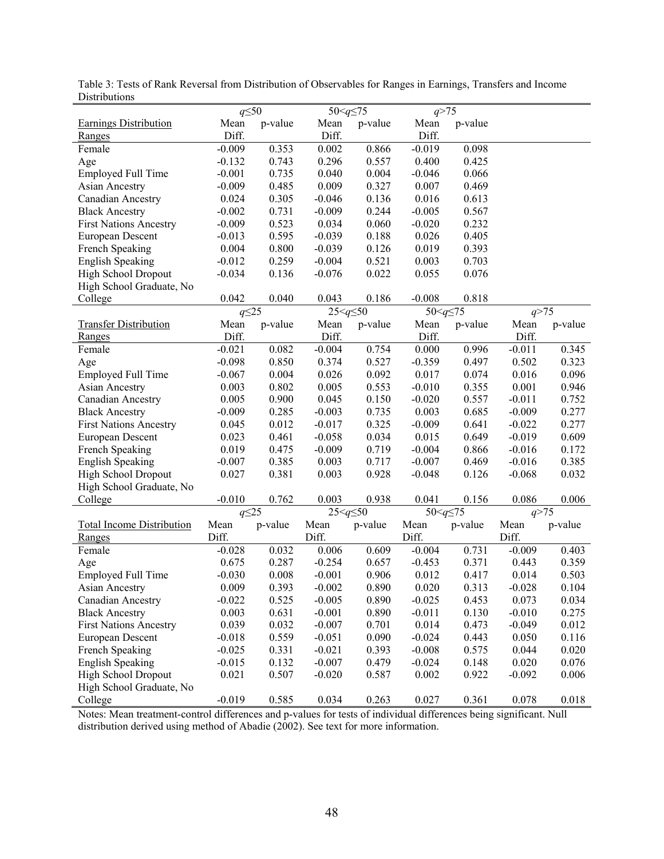|                                                                                                                   | $q \leq 50$   |         | 50 < $q \leq 75$ |         | q > 75          |         |          |         |
|-------------------------------------------------------------------------------------------------------------------|---------------|---------|------------------|---------|-----------------|---------|----------|---------|
|                                                                                                                   |               |         |                  |         |                 |         |          |         |
| <b>Earnings Distribution</b>                                                                                      | Mean<br>Diff. | p-value | Mean<br>Diff.    | p-value | Mean<br>Diff.   | p-value |          |         |
| Ranges                                                                                                            |               |         |                  |         |                 |         |          |         |
| Female                                                                                                            | $-0.009$      | 0.353   | 0.002            | 0.866   | $-0.019$        | 0.098   |          |         |
| Age                                                                                                               | $-0.132$      | 0.743   | 0.296            | 0.557   | 0.400           | 0.425   |          |         |
| <b>Employed Full Time</b>                                                                                         | $-0.001$      | 0.735   | 0.040            | 0.004   | $-0.046$        | 0.066   |          |         |
| <b>Asian Ancestry</b>                                                                                             | $-0.009$      | 0.485   | 0.009            | 0.327   | 0.007           | 0.469   |          |         |
| <b>Canadian Ancestry</b>                                                                                          | 0.024         | 0.305   | $-0.046$         | 0.136   | 0.016           | 0.613   |          |         |
| <b>Black Ancestry</b>                                                                                             | $-0.002$      | 0.731   | $-0.009$         | 0.244   | $-0.005$        | 0.567   |          |         |
| <b>First Nations Ancestry</b>                                                                                     | $-0.009$      | 0.523   | 0.034            | 0.060   | $-0.020$        | 0.232   |          |         |
| European Descent                                                                                                  | $-0.013$      | 0.595   | $-0.039$         | 0.188   | 0.026           | 0.405   |          |         |
| French Speaking                                                                                                   | 0.004         | 0.800   | $-0.039$         | 0.126   | 0.019           | 0.393   |          |         |
| <b>English Speaking</b>                                                                                           | $-0.012$      | 0.259   | $-0.004$         | 0.521   | 0.003           | 0.703   |          |         |
| High School Dropout                                                                                               | $-0.034$      | 0.136   | $-0.076$         | 0.022   | 0.055           | 0.076   |          |         |
| High School Graduate, No                                                                                          |               |         |                  |         |                 |         |          |         |
| College                                                                                                           | 0.042         | 0.040   | 0.043            | 0.186   | $-0.008$        | 0.818   |          |         |
|                                                                                                                   | $q\leq$ 25    |         | $25 < q \leq 50$ |         | 50< $q \leq 75$ |         | q > 75   |         |
| <b>Transfer Distribution</b>                                                                                      | Mean          | p-value | Mean             | p-value | Mean            | p-value | Mean     | p-value |
| Ranges                                                                                                            | Diff.         |         | Diff.            |         | Diff.           |         | Diff.    |         |
| Female                                                                                                            | $-0.021$      | 0.082   | $-0.004$         | 0.754   | 0.000           | 0.996   | $-0.011$ | 0.345   |
| Age                                                                                                               | $-0.098$      | 0.850   | 0.374            | 0.527   | $-0.359$        | 0.497   | 0.502    | 0.323   |
| <b>Employed Full Time</b>                                                                                         | $-0.067$      | 0.004   | 0.026            | 0.092   | 0.017           | 0.074   | 0.016    | 0.096   |
| <b>Asian Ancestry</b>                                                                                             | 0.003         | 0.802   | 0.005            | 0.553   | $-0.010$        | 0.355   | 0.001    | 0.946   |
| <b>Canadian Ancestry</b>                                                                                          | 0.005         | 0.900   | 0.045            | 0.150   | $-0.020$        | 0.557   | $-0.011$ | 0.752   |
| <b>Black Ancestry</b>                                                                                             | $-0.009$      | 0.285   | $-0.003$         | 0.735   | 0.003           | 0.685   | $-0.009$ | 0.277   |
| <b>First Nations Ancestry</b>                                                                                     | 0.045         | 0.012   | $-0.017$         | 0.325   | $-0.009$        | 0.641   | $-0.022$ | 0.277   |
| European Descent                                                                                                  | 0.023         | 0.461   | $-0.058$         | 0.034   | 0.015           | 0.649   | $-0.019$ | 0.609   |
| French Speaking                                                                                                   | 0.019         | 0.475   | $-0.009$         | 0.719   | $-0.004$        | 0.866   | $-0.016$ | 0.172   |
| <b>English Speaking</b>                                                                                           | $-0.007$      | 0.385   | 0.003            | 0.717   | $-0.007$        | 0.469   | $-0.016$ | 0.385   |
| High School Dropout                                                                                               | 0.027         | 0.381   | 0.003            | 0.928   | $-0.048$        | 0.126   | $-0.068$ | 0.032   |
|                                                                                                                   |               |         |                  |         |                 |         |          |         |
| High School Graduate, No                                                                                          |               |         |                  |         |                 |         |          |         |
| College                                                                                                           | $-0.010$      | 0.762   | 0.003            | 0.938   | 0.041           | 0.156   | 0.086    | 0.006   |
|                                                                                                                   | $q\leq 25$    |         | $25 < q \leq 50$ |         | 50< $q \leq 75$ |         | q > 75   |         |
| <b>Total Income Distribution</b>                                                                                  | Mean          | p-value | Mean             | p-value | Mean            | p-value | Mean     | p-value |
| Ranges                                                                                                            | Diff.         |         | Diff.            |         | Diff.           |         | Diff.    |         |
| Female                                                                                                            | $-0.028$      | 0.032   | 0.006            | 0.609   | $-0.004$        | 0.731   | $-0.009$ | 0.403   |
| Age                                                                                                               | 0.675         | 0.287   | $-0.254$         | 0.657   | $-0.453$        | 0.371   | 0.443    | 0.359   |
| <b>Employed Full Time</b>                                                                                         | $-0.030$      | 0.008   | $-0.001$         | 0.906   | 0.012           | 0.417   | 0.014    | 0.503   |
| <b>Asian Ancestry</b>                                                                                             | 0.009         | 0.393   | $-0.002$         | 0.890   | 0.020           | 0.313   | $-0.028$ | 0.104   |
| <b>Canadian Ancestry</b>                                                                                          | $-0.022$      | 0.525   | $-0.005$         | 0.890   | $-0.025$        | 0.453   | 0.073    | 0.034   |
| <b>Black Ancestry</b>                                                                                             | 0.003         | 0.631   | $-0.001$         | 0.890   | $-0.011$        | 0.130   | $-0.010$ | 0.275   |
| <b>First Nations Ancestry</b>                                                                                     | 0.039         | 0.032   | $-0.007$         | 0.701   | 0.014           | 0.473   | $-0.049$ | 0.012   |
| European Descent                                                                                                  | $-0.018$      | 0.559   | $-0.051$         | 0.090   | $-0.024$        | 0.443   | 0.050    | 0.116   |
| French Speaking                                                                                                   | $-0.025$      | 0.331   | $-0.021$         | 0.393   | $-0.008$        | 0.575   | 0.044    | 0.020   |
| <b>English Speaking</b>                                                                                           | $-0.015$      | 0.132   | $-0.007$         | 0.479   | $-0.024$        | 0.148   | 0.020    | 0.076   |
| High School Dropout                                                                                               | 0.021         | 0.507   | $-0.020$         | 0.587   | 0.002           | 0.922   | $-0.092$ | 0.006   |
| High School Graduate, No                                                                                          |               |         |                  |         |                 |         |          |         |
| College                                                                                                           | $-0.019$      | 0.585   | 0.034            | 0.263   | 0.027           | 0.361   | 0.078    | 0.018   |
| Notes: Mean treatment-control differences and n-values for tests of individual differences being significant Null |               |         |                  |         |                 |         |          |         |

Table 3: Tests of Rank Reversal from Distribution of Observables for Ranges in Earnings, Transfers and Income Distributions

Notes: Mean treatment-control differences and p-values for tests of individual differences being significant. Null distribution derived using method of Abadie (2002). See text for more information.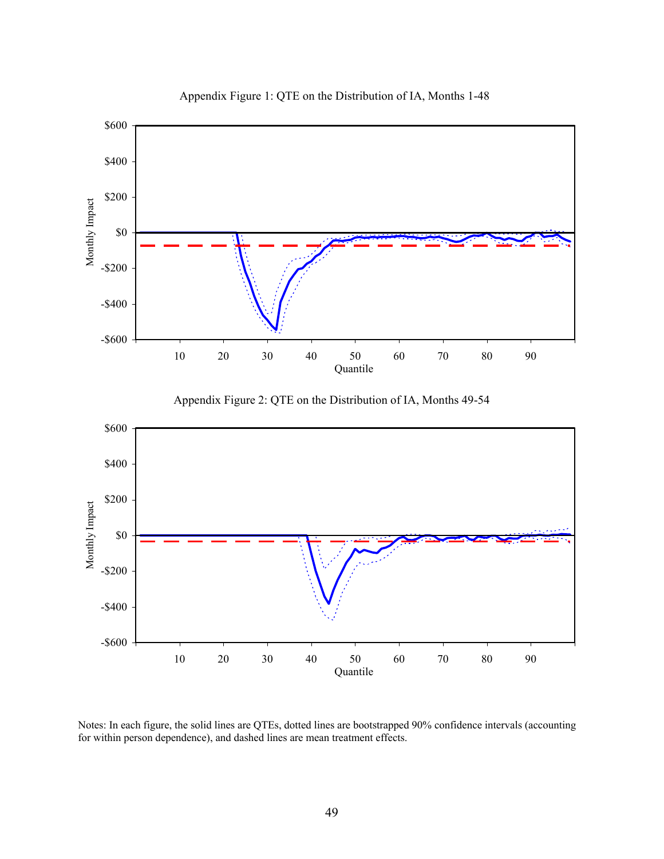

Appendix Figure 1: QTE on the Distribution of IA, Months 1-48

Notes: In each figure, the solid lines are QTEs, dotted lines are bootstrapped 90% confidence intervals (accounting for within person dependence), and dashed lines are mean treatment effects.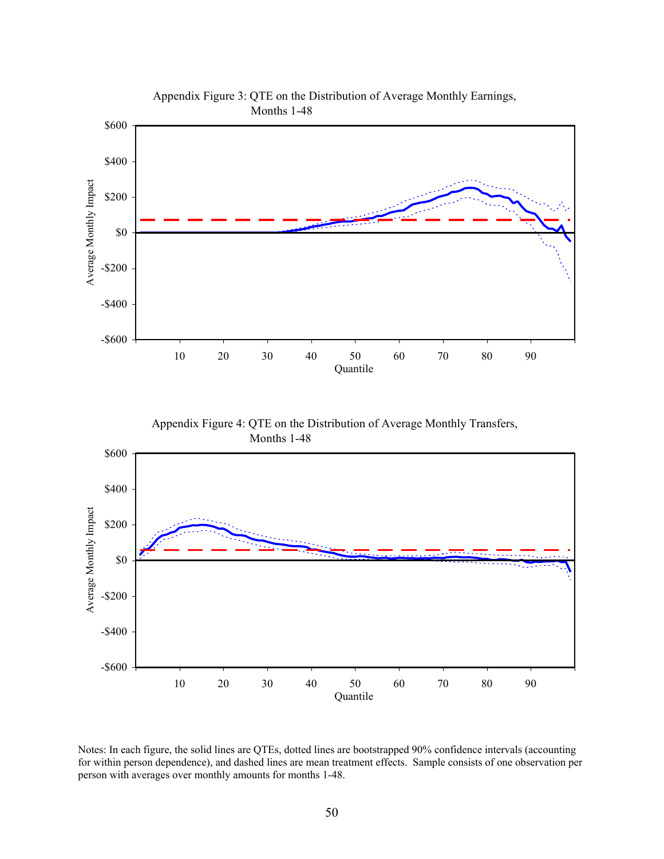

Notes: In each figure, the solid lines are QTEs, dotted lines are bootstrapped 90% confidence intervals (accounting for within person dependence), and dashed lines are mean treatment effects. Sample consists of one observation per person with averages over monthly amounts for months 1-48.